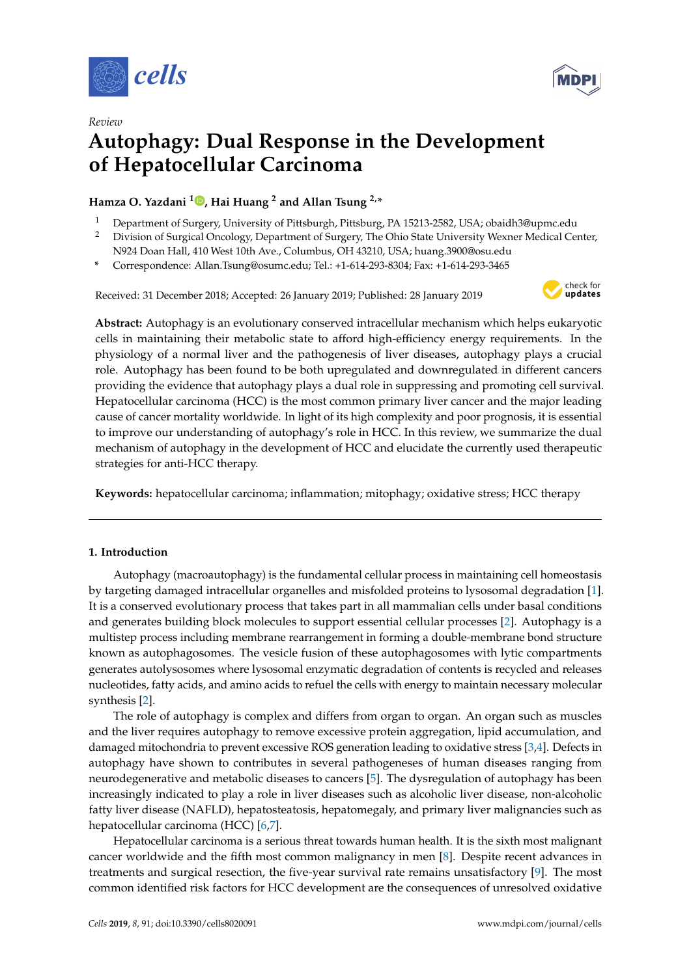

*Review*



# **Autophagy: Dual Response in the Development of Hepatocellular Carcinoma**

## **Hamza O. Yazdani <sup>1</sup> [,](https://orcid.org/0000-0002-3437-0339) Hai Huang <sup>2</sup> and Allan Tsung 2,\***

- <sup>1</sup> Department of Surgery, University of Pittsburgh, Pittsburg, PA 15213-2582, USA; obaidh3@upmc.edu<br><sup>2</sup> Division of Surgical Opcology, Department of Surgery, The Obje State University Weyner Medical Co
- <sup>2</sup> Division of Surgical Oncology, Department of Surgery, The Ohio State University Wexner Medical Center, N924 Doan Hall, 410 West 10th Ave., Columbus, OH 43210, USA; huang.3900@osu.edu
- **\*** Correspondence: Allan.Tsung@osumc.edu; Tel.: +1-614-293-8304; Fax: +1-614-293-3465

Received: 31 December 2018; Accepted: 26 January 2019; Published: 28 January 2019



**Abstract:** Autophagy is an evolutionary conserved intracellular mechanism which helps eukaryotic cells in maintaining their metabolic state to afford high-efficiency energy requirements. In the physiology of a normal liver and the pathogenesis of liver diseases, autophagy plays a crucial role. Autophagy has been found to be both upregulated and downregulated in different cancers providing the evidence that autophagy plays a dual role in suppressing and promoting cell survival. Hepatocellular carcinoma (HCC) is the most common primary liver cancer and the major leading cause of cancer mortality worldwide. In light of its high complexity and poor prognosis, it is essential to improve our understanding of autophagy's role in HCC. In this review, we summarize the dual mechanism of autophagy in the development of HCC and elucidate the currently used therapeutic strategies for anti-HCC therapy.

**Keywords:** hepatocellular carcinoma; inflammation; mitophagy; oxidative stress; HCC therapy

## **1. Introduction**

Autophagy (macroautophagy) is the fundamental cellular process in maintaining cell homeostasis by targeting damaged intracellular organelles and misfolded proteins to lysosomal degradation [\[1\]](#page-7-0). It is a conserved evolutionary process that takes part in all mammalian cells under basal conditions and generates building block molecules to support essential cellular processes [\[2\]](#page-7-1). Autophagy is a multistep process including membrane rearrangement in forming a double-membrane bond structure known as autophagosomes. The vesicle fusion of these autophagosomes with lytic compartments generates autolysosomes where lysosomal enzymatic degradation of contents is recycled and releases nucleotides, fatty acids, and amino acids to refuel the cells with energy to maintain necessary molecular synthesis [\[2\]](#page-7-1).

The role of autophagy is complex and differs from organ to organ. An organ such as muscles and the liver requires autophagy to remove excessive protein aggregation, lipid accumulation, and damaged mitochondria to prevent excessive ROS generation leading to oxidative stress [\[3,](#page-7-2)[4\]](#page-7-3). Defects in autophagy have shown to contributes in several pathogeneses of human diseases ranging from neurodegenerative and metabolic diseases to cancers [\[5\]](#page-7-4). The dysregulation of autophagy has been increasingly indicated to play a role in liver diseases such as alcoholic liver disease, non-alcoholic fatty liver disease (NAFLD), hepatosteatosis, hepatomegaly, and primary liver malignancies such as hepatocellular carcinoma (HCC) [\[6](#page-7-5)[,7\]](#page-7-6).

Hepatocellular carcinoma is a serious threat towards human health. It is the sixth most malignant cancer worldwide and the fifth most common malignancy in men [\[8\]](#page-7-7). Despite recent advances in treatments and surgical resection, the five-year survival rate remains unsatisfactory [\[9\]](#page-8-0). The most common identified risk factors for HCC development are the consequences of unresolved oxidative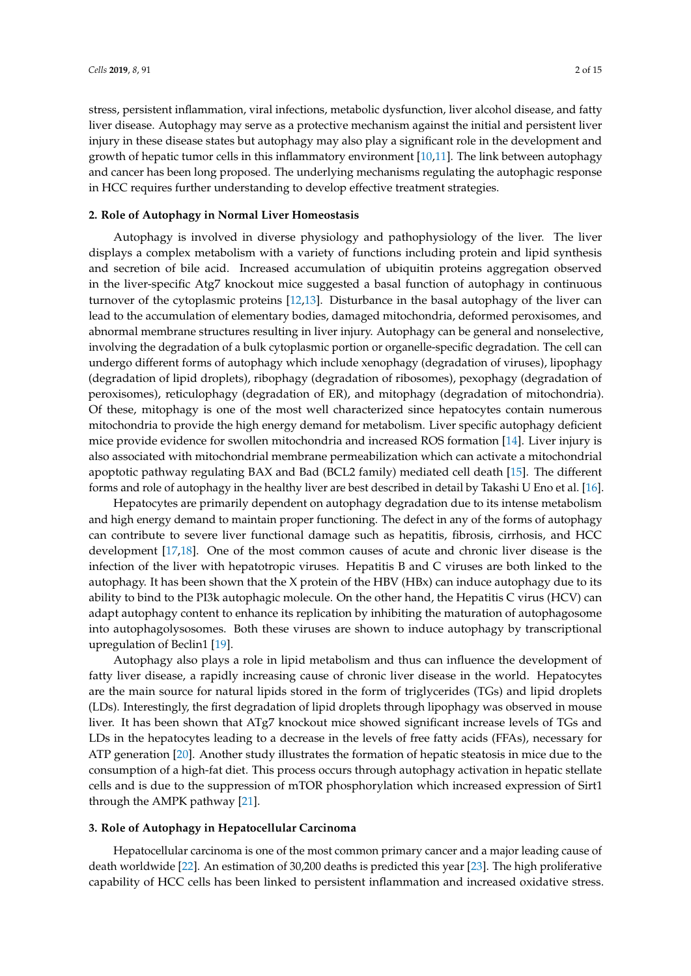stress, persistent inflammation, viral infections, metabolic dysfunction, liver alcohol disease, and fatty liver disease. Autophagy may serve as a protective mechanism against the initial and persistent liver injury in these disease states but autophagy may also play a significant role in the development and growth of hepatic tumor cells in this inflammatory environment [\[10](#page-8-1)[,11\]](#page-8-2). The link between autophagy and cancer has been long proposed. The underlying mechanisms regulating the autophagic response in HCC requires further understanding to develop effective treatment strategies.

## **2. Role of Autophagy in Normal Liver Homeostasis**

Autophagy is involved in diverse physiology and pathophysiology of the liver. The liver displays a complex metabolism with a variety of functions including protein and lipid synthesis and secretion of bile acid. Increased accumulation of ubiquitin proteins aggregation observed in the liver-specific Atg7 knockout mice suggested a basal function of autophagy in continuous turnover of the cytoplasmic proteins [\[12](#page-8-3)[,13\]](#page-8-4). Disturbance in the basal autophagy of the liver can lead to the accumulation of elementary bodies, damaged mitochondria, deformed peroxisomes, and abnormal membrane structures resulting in liver injury. Autophagy can be general and nonselective, involving the degradation of a bulk cytoplasmic portion or organelle-specific degradation. The cell can undergo different forms of autophagy which include xenophagy (degradation of viruses), lipophagy (degradation of lipid droplets), ribophagy (degradation of ribosomes), pexophagy (degradation of peroxisomes), reticulophagy (degradation of ER), and mitophagy (degradation of mitochondria). Of these, mitophagy is one of the most well characterized since hepatocytes contain numerous mitochondria to provide the high energy demand for metabolism. Liver specific autophagy deficient mice provide evidence for swollen mitochondria and increased ROS formation [\[14\]](#page-8-5). Liver injury is also associated with mitochondrial membrane permeabilization which can activate a mitochondrial apoptotic pathway regulating BAX and Bad (BCL2 family) mediated cell death [\[15\]](#page-8-6). The different forms and role of autophagy in the healthy liver are best described in detail by Takashi U Eno et al. [\[16\]](#page-8-7).

Hepatocytes are primarily dependent on autophagy degradation due to its intense metabolism and high energy demand to maintain proper functioning. The defect in any of the forms of autophagy can contribute to severe liver functional damage such as hepatitis, fibrosis, cirrhosis, and HCC development [\[17,](#page-8-8)[18\]](#page-8-9). One of the most common causes of acute and chronic liver disease is the infection of the liver with hepatotropic viruses. Hepatitis B and C viruses are both linked to the autophagy. It has been shown that the X protein of the HBV (HBx) can induce autophagy due to its ability to bind to the PI3k autophagic molecule. On the other hand, the Hepatitis C virus (HCV) can adapt autophagy content to enhance its replication by inhibiting the maturation of autophagosome into autophagolysosomes. Both these viruses are shown to induce autophagy by transcriptional upregulation of Beclin1 [\[19\]](#page-8-10).

Autophagy also plays a role in lipid metabolism and thus can influence the development of fatty liver disease, a rapidly increasing cause of chronic liver disease in the world. Hepatocytes are the main source for natural lipids stored in the form of triglycerides (TGs) and lipid droplets (LDs). Interestingly, the first degradation of lipid droplets through lipophagy was observed in mouse liver. It has been shown that ATg7 knockout mice showed significant increase levels of TGs and LDs in the hepatocytes leading to a decrease in the levels of free fatty acids (FFAs), necessary for ATP generation [\[20\]](#page-8-11). Another study illustrates the formation of hepatic steatosis in mice due to the consumption of a high-fat diet. This process occurs through autophagy activation in hepatic stellate cells and is due to the suppression of mTOR phosphorylation which increased expression of Sirt1 through the AMPK pathway [\[21\]](#page-8-12).

#### **3. Role of Autophagy in Hepatocellular Carcinoma**

Hepatocellular carcinoma is one of the most common primary cancer and a major leading cause of death worldwide [\[22\]](#page-8-13). An estimation of 30,200 deaths is predicted this year [\[23\]](#page-8-14). The high proliferative capability of HCC cells has been linked to persistent inflammation and increased oxidative stress.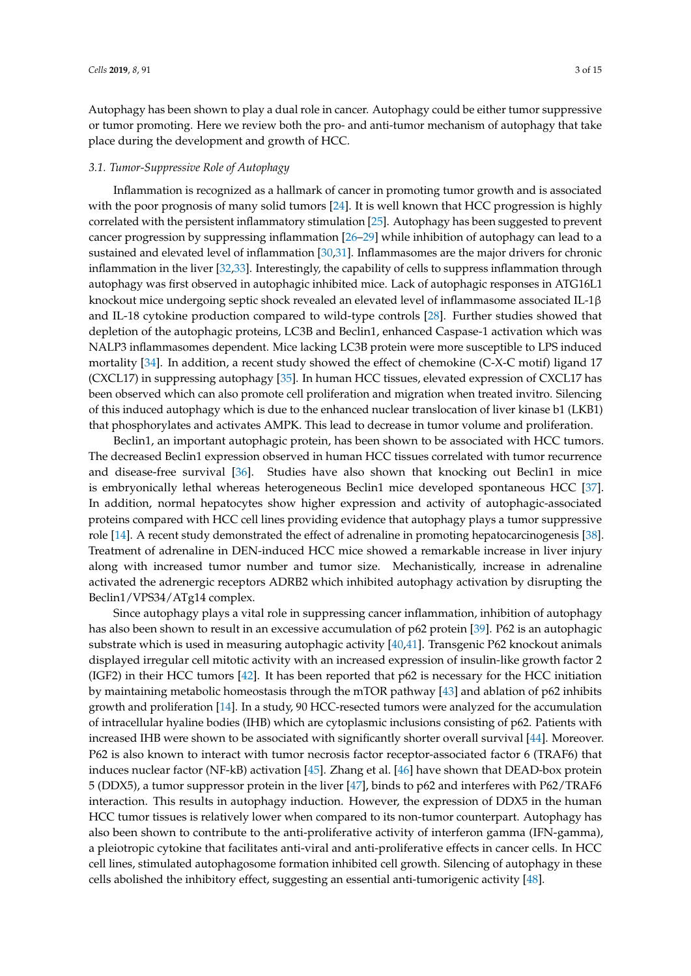Autophagy has been shown to play a dual role in cancer. Autophagy could be either tumor suppressive or tumor promoting. Here we review both the pro- and anti-tumor mechanism of autophagy that take place during the development and growth of HCC.

#### *3.1. Tumor-Suppressive Role of Autophagy*

Inflammation is recognized as a hallmark of cancer in promoting tumor growth and is associated with the poor prognosis of many solid tumors [\[24\]](#page-8-15). It is well known that HCC progression is highly correlated with the persistent inflammatory stimulation [\[25\]](#page-8-16). Autophagy has been suggested to prevent cancer progression by suppressing inflammation [\[26–](#page-8-17)[29\]](#page-8-18) while inhibition of autophagy can lead to a sustained and elevated level of inflammation [\[30,](#page-8-19)[31\]](#page-9-0). Inflammasomes are the major drivers for chronic inflammation in the liver [\[32](#page-9-1)[,33\]](#page-9-2). Interestingly, the capability of cells to suppress inflammation through autophagy was first observed in autophagic inhibited mice. Lack of autophagic responses in ATG16L1 knockout mice undergoing septic shock revealed an elevated level of inflammasome associated IL-1β and IL-18 cytokine production compared to wild-type controls [\[28\]](#page-8-20). Further studies showed that depletion of the autophagic proteins, LC3B and Beclin1, enhanced Caspase-1 activation which was NALP3 inflammasomes dependent. Mice lacking LC3B protein were more susceptible to LPS induced mortality [\[34\]](#page-9-3). In addition, a recent study showed the effect of chemokine (C-X-C motif) ligand 17 (CXCL17) in suppressing autophagy [\[35\]](#page-9-4). In human HCC tissues, elevated expression of CXCL17 has been observed which can also promote cell proliferation and migration when treated invitro. Silencing of this induced autophagy which is due to the enhanced nuclear translocation of liver kinase b1 (LKB1) that phosphorylates and activates AMPK. This lead to decrease in tumor volume and proliferation.

Beclin1, an important autophagic protein, has been shown to be associated with HCC tumors. The decreased Beclin1 expression observed in human HCC tissues correlated with tumor recurrence and disease-free survival [\[36\]](#page-9-5). Studies have also shown that knocking out Beclin1 in mice is embryonically lethal whereas heterogeneous Beclin1 mice developed spontaneous HCC [\[37\]](#page-9-6). In addition, normal hepatocytes show higher expression and activity of autophagic-associated proteins compared with HCC cell lines providing evidence that autophagy plays a tumor suppressive role [\[14\]](#page-8-5). A recent study demonstrated the effect of adrenaline in promoting hepatocarcinogenesis [\[38\]](#page-9-7). Treatment of adrenaline in DEN-induced HCC mice showed a remarkable increase in liver injury along with increased tumor number and tumor size. Mechanistically, increase in adrenaline activated the adrenergic receptors ADRB2 which inhibited autophagy activation by disrupting the Beclin1/VPS34/ATg14 complex.

Since autophagy plays a vital role in suppressing cancer inflammation, inhibition of autophagy has also been shown to result in an excessive accumulation of p62 protein [\[39\]](#page-9-8). P62 is an autophagic substrate which is used in measuring autophagic activity [\[40,](#page-9-9)[41\]](#page-9-10). Transgenic P62 knockout animals displayed irregular cell mitotic activity with an increased expression of insulin-like growth factor 2 (IGF2) in their HCC tumors [\[42\]](#page-9-11). It has been reported that p62 is necessary for the HCC initiation by maintaining metabolic homeostasis through the mTOR pathway [\[43\]](#page-9-12) and ablation of p62 inhibits growth and proliferation [\[14\]](#page-8-5). In a study, 90 HCC-resected tumors were analyzed for the accumulation of intracellular hyaline bodies (IHB) which are cytoplasmic inclusions consisting of p62. Patients with increased IHB were shown to be associated with significantly shorter overall survival [\[44\]](#page-9-13). Moreover. P62 is also known to interact with tumor necrosis factor receptor-associated factor 6 (TRAF6) that induces nuclear factor (NF-kB) activation [\[45\]](#page-9-14). Zhang et al. [\[46\]](#page-9-15) have shown that DEAD-box protein 5 (DDX5), a tumor suppressor protein in the liver [\[47\]](#page-9-16), binds to p62 and interferes with P62/TRAF6 interaction. This results in autophagy induction. However, the expression of DDX5 in the human HCC tumor tissues is relatively lower when compared to its non-tumor counterpart. Autophagy has also been shown to contribute to the anti-proliferative activity of interferon gamma (IFN-gamma), a pleiotropic cytokine that facilitates anti-viral and anti-proliferative effects in cancer cells. In HCC cell lines, stimulated autophagosome formation inhibited cell growth. Silencing of autophagy in these cells abolished the inhibitory effect, suggesting an essential anti-tumorigenic activity [\[48\]](#page-9-17).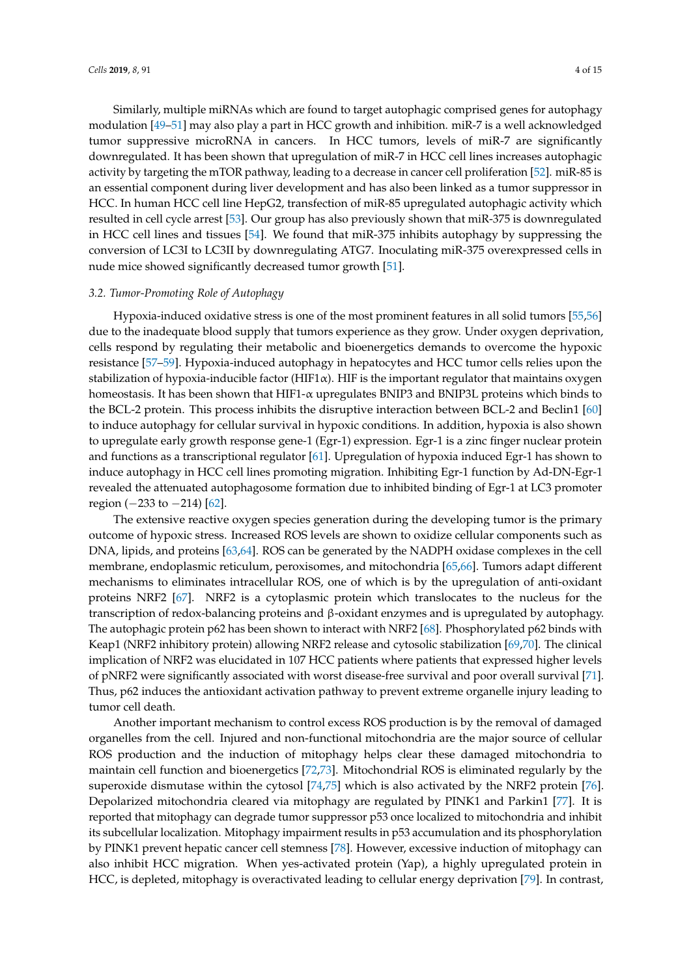Similarly, multiple miRNAs which are found to target autophagic comprised genes for autophagy modulation [\[49–](#page-9-18)[51\]](#page-10-0) may also play a part in HCC growth and inhibition. miR-7 is a well acknowledged tumor suppressive microRNA in cancers. In HCC tumors, levels of miR-7 are significantly downregulated. It has been shown that upregulation of miR-7 in HCC cell lines increases autophagic activity by targeting the mTOR pathway, leading to a decrease in cancer cell proliferation [\[52\]](#page-10-1). miR-85 is an essential component during liver development and has also been linked as a tumor suppressor in HCC. In human HCC cell line HepG2, transfection of miR-85 upregulated autophagic activity which resulted in cell cycle arrest [\[53\]](#page-10-2). Our group has also previously shown that miR-375 is downregulated in HCC cell lines and tissues [\[54\]](#page-10-3). We found that miR-375 inhibits autophagy by suppressing the conversion of LC3I to LC3II by downregulating ATG7. Inoculating miR-375 overexpressed cells in nude mice showed significantly decreased tumor growth [\[51\]](#page-10-0).

#### *3.2. Tumor-Promoting Role of Autophagy*

Hypoxia-induced oxidative stress is one of the most prominent features in all solid tumors [\[55,](#page-10-4)[56\]](#page-10-5) due to the inadequate blood supply that tumors experience as they grow. Under oxygen deprivation, cells respond by regulating their metabolic and bioenergetics demands to overcome the hypoxic resistance [\[57–](#page-10-6)[59\]](#page-10-7). Hypoxia-induced autophagy in hepatocytes and HCC tumor cells relies upon the stabilization of hypoxia-inducible factor (HIF1 $\alpha$ ). HIF is the important regulator that maintains oxygen homeostasis. It has been shown that HIF1-α upregulates BNIP3 and BNIP3L proteins which binds to the BCL-2 protein. This process inhibits the disruptive interaction between BCL-2 and Beclin1 [\[60\]](#page-10-8) to induce autophagy for cellular survival in hypoxic conditions. In addition, hypoxia is also shown to upregulate early growth response gene-1 (Egr-1) expression. Egr-1 is a zinc finger nuclear protein and functions as a transcriptional regulator [\[61\]](#page-10-9). Upregulation of hypoxia induced Egr-1 has shown to induce autophagy in HCC cell lines promoting migration. Inhibiting Egr-1 function by Ad-DN-Egr-1 revealed the attenuated autophagosome formation due to inhibited binding of Egr-1 at LC3 promoter region (−233 to −214) [\[62\]](#page-10-10).

The extensive reactive oxygen species generation during the developing tumor is the primary outcome of hypoxic stress. Increased ROS levels are shown to oxidize cellular components such as DNA, lipids, and proteins [\[63,](#page-10-11)[64\]](#page-10-12). ROS can be generated by the NADPH oxidase complexes in the cell membrane, endoplasmic reticulum, peroxisomes, and mitochondria [\[65](#page-10-13)[,66\]](#page-10-14). Tumors adapt different mechanisms to eliminates intracellular ROS, one of which is by the upregulation of anti-oxidant proteins NRF2 [\[67\]](#page-10-15). NRF2 is a cytoplasmic protein which translocates to the nucleus for the transcription of redox-balancing proteins and β-oxidant enzymes and is upregulated by autophagy. The autophagic protein p62 has been shown to interact with NRF2 [\[68\]](#page-10-16). Phosphorylated p62 binds with Keap1 (NRF2 inhibitory protein) allowing NRF2 release and cytosolic stabilization [\[69](#page-10-17)[,70\]](#page-10-18). The clinical implication of NRF2 was elucidated in 107 HCC patients where patients that expressed higher levels of pNRF2 were significantly associated with worst disease-free survival and poor overall survival [\[71\]](#page-11-0). Thus, p62 induces the antioxidant activation pathway to prevent extreme organelle injury leading to tumor cell death.

Another important mechanism to control excess ROS production is by the removal of damaged organelles from the cell. Injured and non-functional mitochondria are the major source of cellular ROS production and the induction of mitophagy helps clear these damaged mitochondria to maintain cell function and bioenergetics [\[72](#page-11-1)[,73\]](#page-11-2). Mitochondrial ROS is eliminated regularly by the superoxide dismutase within the cytosol [\[74](#page-11-3)[,75\]](#page-11-4) which is also activated by the NRF2 protein [\[76\]](#page-11-5). Depolarized mitochondria cleared via mitophagy are regulated by PINK1 and Parkin1 [\[77\]](#page-11-6). It is reported that mitophagy can degrade tumor suppressor p53 once localized to mitochondria and inhibit its subcellular localization. Mitophagy impairment results in p53 accumulation and its phosphorylation by PINK1 prevent hepatic cancer cell stemness [\[78\]](#page-11-7). However, excessive induction of mitophagy can also inhibit HCC migration. When yes-activated protein (Yap), a highly upregulated protein in HCC, is depleted, mitophagy is overactivated leading to cellular energy deprivation [\[79\]](#page-11-8). In contrast,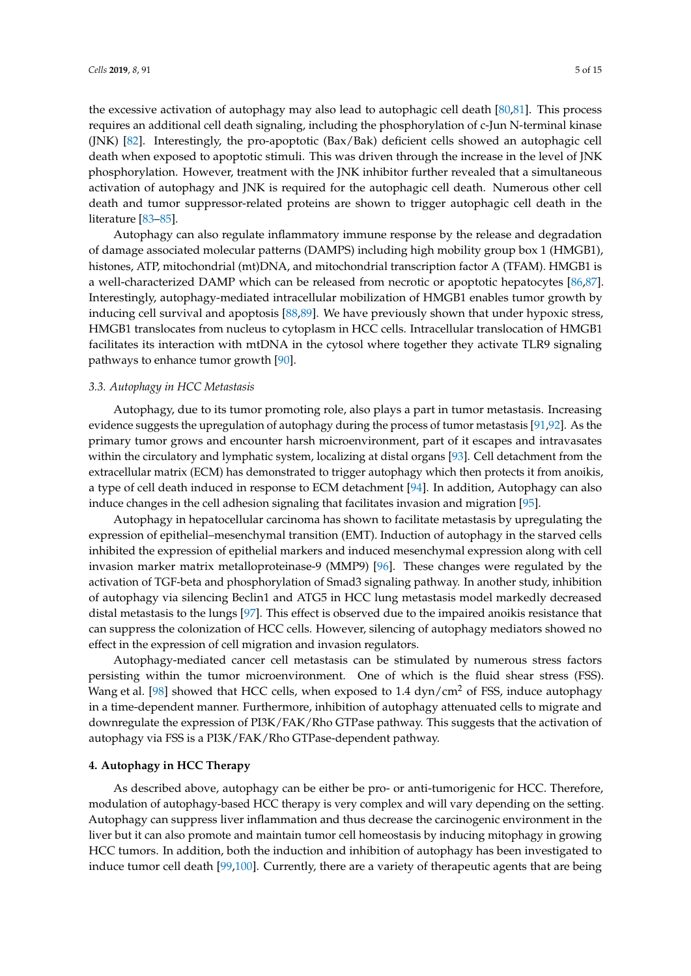the excessive activation of autophagy may also lead to autophagic cell death [\[80](#page-11-9)[,81\]](#page-11-10). This process requires an additional cell death signaling, including the phosphorylation of c-Jun N-terminal kinase (JNK) [\[82\]](#page-11-11). Interestingly, the pro-apoptotic (Bax/Bak) deficient cells showed an autophagic cell death when exposed to apoptotic stimuli. This was driven through the increase in the level of JNK phosphorylation. However, treatment with the JNK inhibitor further revealed that a simultaneous activation of autophagy and JNK is required for the autophagic cell death. Numerous other cell death and tumor suppressor-related proteins are shown to trigger autophagic cell death in the literature [\[83–](#page-11-12)[85\]](#page-11-13).

Autophagy can also regulate inflammatory immune response by the release and degradation of damage associated molecular patterns (DAMPS) including high mobility group box 1 (HMGB1), histones, ATP, mitochondrial (mt)DNA, and mitochondrial transcription factor A (TFAM). HMGB1 is a well-characterized DAMP which can be released from necrotic or apoptotic hepatocytes [\[86,](#page-11-14)[87\]](#page-11-15). Interestingly, autophagy-mediated intracellular mobilization of HMGB1 enables tumor growth by inducing cell survival and apoptosis [\[88](#page-11-16)[,89\]](#page-11-17). We have previously shown that under hypoxic stress, HMGB1 translocates from nucleus to cytoplasm in HCC cells. Intracellular translocation of HMGB1 facilitates its interaction with mtDNA in the cytosol where together they activate TLR9 signaling pathways to enhance tumor growth [\[90\]](#page-11-18).

#### *3.3. Autophagy in HCC Metastasis*

Autophagy, due to its tumor promoting role, also plays a part in tumor metastasis. Increasing evidence suggests the upregulation of autophagy during the process of tumor metastasis [\[91](#page-12-0)[,92\]](#page-12-1). As the primary tumor grows and encounter harsh microenvironment, part of it escapes and intravasates within the circulatory and lymphatic system, localizing at distal organs [\[93\]](#page-12-2). Cell detachment from the extracellular matrix (ECM) has demonstrated to trigger autophagy which then protects it from anoikis, a type of cell death induced in response to ECM detachment [\[94\]](#page-12-3). In addition, Autophagy can also induce changes in the cell adhesion signaling that facilitates invasion and migration [\[95\]](#page-12-4).

Autophagy in hepatocellular carcinoma has shown to facilitate metastasis by upregulating the expression of epithelial–mesenchymal transition (EMT). Induction of autophagy in the starved cells inhibited the expression of epithelial markers and induced mesenchymal expression along with cell invasion marker matrix metalloproteinase-9 (MMP9) [\[96\]](#page-12-5). These changes were regulated by the activation of TGF-beta and phosphorylation of Smad3 signaling pathway. In another study, inhibition of autophagy via silencing Beclin1 and ATG5 in HCC lung metastasis model markedly decreased distal metastasis to the lungs [\[97\]](#page-12-6). This effect is observed due to the impaired anoikis resistance that can suppress the colonization of HCC cells. However, silencing of autophagy mediators showed no effect in the expression of cell migration and invasion regulators.

Autophagy-mediated cancer cell metastasis can be stimulated by numerous stress factors persisting within the tumor microenvironment. One of which is the fluid shear stress (FSS). Wang et al. [\[98\]](#page-12-7) showed that HCC cells, when exposed to 1.4  $\frac{dyn}{cm^2}$  of FSS, induce autophagy in a time-dependent manner. Furthermore, inhibition of autophagy attenuated cells to migrate and downregulate the expression of PI3K/FAK/Rho GTPase pathway. This suggests that the activation of autophagy via FSS is a PI3K/FAK/Rho GTPase-dependent pathway.

#### **4. Autophagy in HCC Therapy**

As described above, autophagy can be either be pro- or anti-tumorigenic for HCC. Therefore, modulation of autophagy-based HCC therapy is very complex and will vary depending on the setting. Autophagy can suppress liver inflammation and thus decrease the carcinogenic environment in the liver but it can also promote and maintain tumor cell homeostasis by inducing mitophagy in growing HCC tumors. In addition, both the induction and inhibition of autophagy has been investigated to induce tumor cell death [\[99,](#page-12-8)[100\]](#page-12-9). Currently, there are a variety of therapeutic agents that are being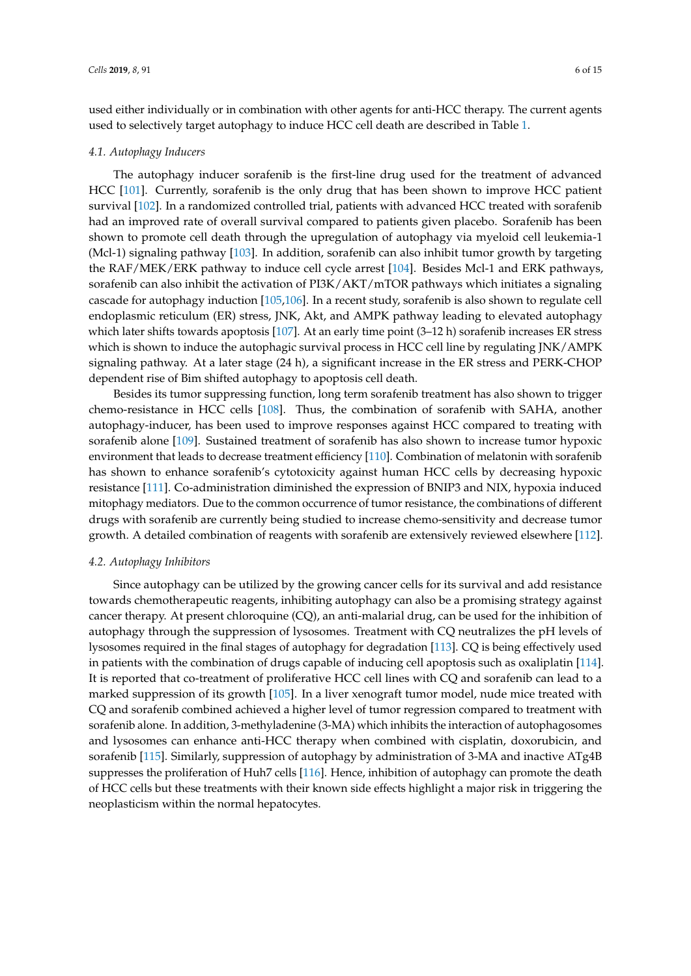used either individually or in combination with other agents for anti-HCC therapy. The current agents used to selectively target autophagy to induce HCC cell death are described in Table [1.](#page-6-0)

#### *4.1. Autophagy Inducers*

The autophagy inducer sorafenib is the first-line drug used for the treatment of advanced HCC [\[101\]](#page-12-10). Currently, sorafenib is the only drug that has been shown to improve HCC patient survival [\[102\]](#page-12-11). In a randomized controlled trial, patients with advanced HCC treated with sorafenib had an improved rate of overall survival compared to patients given placebo. Sorafenib has been shown to promote cell death through the upregulation of autophagy via myeloid cell leukemia-1 (Mcl-1) signaling pathway [\[103\]](#page-12-12). In addition, sorafenib can also inhibit tumor growth by targeting the RAF/MEK/ERK pathway to induce cell cycle arrest [\[104\]](#page-12-13). Besides Mcl-1 and ERK pathways, sorafenib can also inhibit the activation of PI3K/AKT/mTOR pathways which initiates a signaling cascade for autophagy induction [\[105](#page-12-14)[,106\]](#page-12-15). In a recent study, sorafenib is also shown to regulate cell endoplasmic reticulum (ER) stress, JNK, Akt, and AMPK pathway leading to elevated autophagy which later shifts towards apoptosis [\[107\]](#page-12-16). At an early time point (3–12 h) sorafenib increases ER stress which is shown to induce the autophagic survival process in HCC cell line by regulating JNK/AMPK signaling pathway. At a later stage (24 h), a significant increase in the ER stress and PERK-CHOP dependent rise of Bim shifted autophagy to apoptosis cell death.

Besides its tumor suppressing function, long term sorafenib treatment has also shown to trigger chemo-resistance in HCC cells [\[108\]](#page-12-17). Thus, the combination of sorafenib with SAHA, another autophagy-inducer, has been used to improve responses against HCC compared to treating with sorafenib alone [\[109\]](#page-12-18). Sustained treatment of sorafenib has also shown to increase tumor hypoxic environment that leads to decrease treatment efficiency [\[110\]](#page-13-0). Combination of melatonin with sorafenib has shown to enhance sorafenib's cytotoxicity against human HCC cells by decreasing hypoxic resistance [\[111\]](#page-13-1). Co-administration diminished the expression of BNIP3 and NIX, hypoxia induced mitophagy mediators. Due to the common occurrence of tumor resistance, the combinations of different drugs with sorafenib are currently being studied to increase chemo-sensitivity and decrease tumor growth. A detailed combination of reagents with sorafenib are extensively reviewed elsewhere [\[112\]](#page-13-2).

#### *4.2. Autophagy Inhibitors*

Since autophagy can be utilized by the growing cancer cells for its survival and add resistance towards chemotherapeutic reagents, inhibiting autophagy can also be a promising strategy against cancer therapy. At present chloroquine (CQ), an anti-malarial drug, can be used for the inhibition of autophagy through the suppression of lysosomes. Treatment with CQ neutralizes the pH levels of lysosomes required in the final stages of autophagy for degradation [\[113\]](#page-13-3). CQ is being effectively used in patients with the combination of drugs capable of inducing cell apoptosis such as oxaliplatin [\[114\]](#page-13-4). It is reported that co-treatment of proliferative HCC cell lines with CQ and sorafenib can lead to a marked suppression of its growth [\[105\]](#page-12-14). In a liver xenograft tumor model, nude mice treated with CQ and sorafenib combined achieved a higher level of tumor regression compared to treatment with sorafenib alone. In addition, 3-methyladenine (3-MA) which inhibits the interaction of autophagosomes and lysosomes can enhance anti-HCC therapy when combined with cisplatin, doxorubicin, and sorafenib [\[115\]](#page-13-5). Similarly, suppression of autophagy by administration of 3-MA and inactive ATg4B suppresses the proliferation of Huh7 cells [\[116\]](#page-13-6). Hence, inhibition of autophagy can promote the death of HCC cells but these treatments with their known side effects highlight a major risk in triggering the neoplasticism within the normal hepatocytes.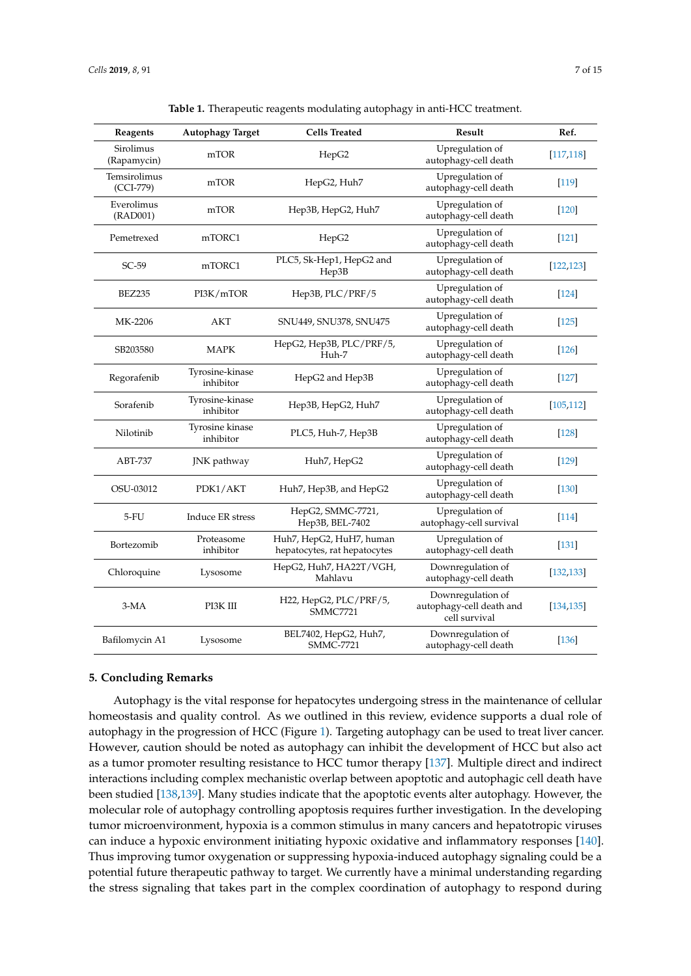<span id="page-6-0"></span>

| Reagents                    | <b>Autophagy Target</b>      | <b>Cells Treated</b>                                     | Result                                                         | Ref.       |
|-----------------------------|------------------------------|----------------------------------------------------------|----------------------------------------------------------------|------------|
| Sirolimus<br>(Rapamycin)    | mTOR                         | HepG2                                                    | Upregulation of<br>autophagy-cell death                        | [117, 118] |
| Temsirolimus<br>$(CCI-779)$ | mTOR                         | HepG2, Huh7                                              | Upregulation of<br>autophagy-cell death                        | $[119]$    |
| Everolimus<br>(RAD001)      | mTOR                         | Hep3B, HepG2, Huh7                                       | Upregulation of<br>autophagy-cell death                        | $[120]$    |
| Pemetrexed                  | mTORC1                       | HepG2                                                    | Upregulation of<br>autophagy-cell death                        | $[121]$    |
| $SC-59$                     | mTORC1                       | PLC5, Sk-Hep1, HepG2 and<br>Hep3B                        | Upregulation of<br>autophagy-cell death                        | [122, 123] |
| <b>BEZ235</b>               | PI3K/mTOR                    | Hep3B, PLC/PRF/5                                         | Upregulation of<br>autophagy-cell death                        | $[124]$    |
| MK-2206                     | AKT                          | SNU449, SNU378, SNU475                                   | Upregulation of<br>autophagy-cell death                        | $[125]$    |
| SB203580                    | <b>MAPK</b>                  | HepG2, Hep3B, PLC/PRF/5,<br>Huh-7                        | Upregulation of<br>autophagy-cell death                        | $[126]$    |
| Regorafenib                 | Tyrosine-kinase<br>inhibitor | HepG2 and Hep3B                                          | Upregulation of<br>autophagy-cell death                        | $[127]$    |
| Sorafenib                   | Tyrosine-kinase<br>inhibitor | Hep3B, HepG2, Huh7                                       | Upregulation of<br>autophagy-cell death                        | [105, 112] |
| Nilotinib                   | Tyrosine kinase<br>inhibitor | PLC5, Huh-7, Hep3B                                       | Upregulation of<br>autophagy-cell death                        | $[128]$    |
| ABT-737                     | JNK pathway                  | Huh7, HepG2                                              | Upregulation of<br>autophagy-cell death                        | $[129]$    |
| OSU-03012                   | PDK1/AKT                     | Huh7, Hep3B, and HepG2                                   | Upregulation of<br>autophagy-cell death                        | $[130]$    |
| 5-FU                        | Induce ER stress             | HepG2, SMMC-7721,<br>Hep3B, BEL-7402                     | Upregulation of<br>autophagy-cell survival                     | [114]      |
| Bortezomib                  | Proteasome<br>inhibitor      | Huh7, HepG2, HuH7, human<br>hepatocytes, rat hepatocytes | Upregulation of<br>autophagy-cell death                        | $[131]$    |
| Chloroquine                 | Lysosome                     | HepG2, Huh7, HA22T/VGH,<br>Mahlavu                       | Downregulation of<br>autophagy-cell death                      | [132, 133] |
| $3-MA$                      | PI3K III                     | H22, HepG2, PLC/PRF/5,<br><b>SMMC7721</b>                | Downregulation of<br>autophagy-cell death and<br>cell survival | [134, 135] |
| Bafilomycin A1              | Lysosome                     | BEL7402, HepG2, Huh7,<br>SMMC-7721                       | Downregulation of<br>autophagy-cell death                      | $[136]$    |

**Table 1.** Therapeutic reagents modulating autophagy in anti-HCC treatment.

### **5. Concluding Remarks**

Autophagy is the vital response for hepatocytes undergoing stress in the maintenance of cellular homeostasis and quality control. As we outlined in this review, evidence supports a dual role of autophagy in the progression of HCC (Figure [1\)](#page-7-8). Targeting autophagy can be used to treat liver cancer. However, caution should be noted as autophagy can inhibit the development of HCC but also act as a tumor promoter resulting resistance to HCC tumor therapy [\[137\]](#page-14-9). Multiple direct and indirect interactions including complex mechanistic overlap between apoptotic and autophagic cell death have been studied [\[138,](#page-14-10)[139\]](#page-14-11). Many studies indicate that the apoptotic events alter autophagy. However, the molecular role of autophagy controlling apoptosis requires further investigation. In the developing tumor microenvironment, hypoxia is a common stimulus in many cancers and hepatotropic viruses can induce a hypoxic environment initiating hypoxic oxidative and inflammatory responses [\[140\]](#page-14-12). Thus improving tumor oxygenation or suppressing hypoxia-induced autophagy signaling could be a potential future therapeutic pathway to target. We currently have a minimal understanding regarding the stress signaling that takes part in the complex coordination of autophagy to respond during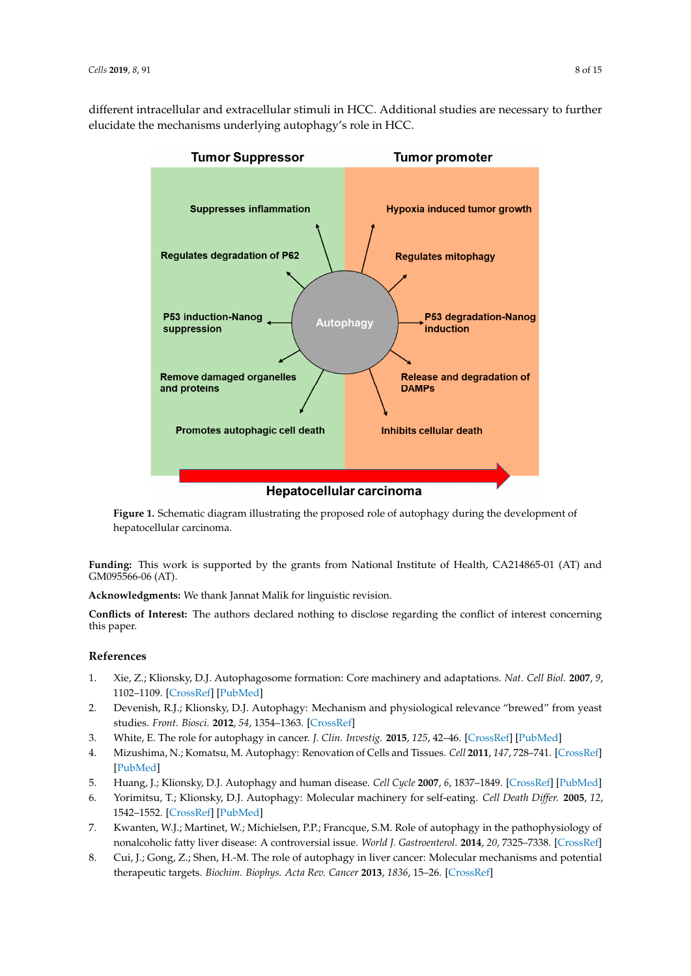<span id="page-7-8"></span>different intracellular and extracellular stimuli in HCC. Additional studies are necessary to further elucidate the mechanisms underlying autophagy's role in HCC.



**hepatocellular carcinoma.** The proposed role of autophagy during the development of autophagy during the development of autophagy during the development of autophagy during the development of autophagy during the developm **Figure 1.** Schematic diagram illustrating the proposed role of autophagy during the development of

**Funding:** This work is supported by the grants from National Institute of Health, CA214865-01 (AT) and **Funding:** This work is supported by the grants from National Institute of Health, CA214865-01 (AT) and GM095566-06 (AT). GM095566-06 (AT).

**Acknowledgments:** We thank Jannat Malik for linguistic revision. **Acknowledgments:** We thank Jannat Malik for linguistic revision.

Conflicts of Interest: The authors declared nothing to disclose regarding the conflict of interest concerning this paper.

## **References References**

- <span id="page-7-0"></span>1. Xie, Z.; Klionsky, D.J. Autophagosome formation: Core machinery and adaptations. Nat. Cell Biol. 2007, 9, 1102–1109. 1102–1109. [\[CrossRef\]](http://dx.doi.org/10.1038/ncb1007-1102) [\[PubMed\]](http://www.ncbi.nlm.nih.gov/pubmed/17909521)
- <span id="page-7-1"></span>2. Devenish, R.J.; Klionsky, D.J. Autophagy: Mechanism and physiological relevance "brewed" from yeast 2. Devenish, R.J.; Klionsky, D.J. Autophagy: Mechanism and physiological relevance "brewed" from yeast studies. *Front. Biosci.* **2012**, *54*, 1354–1363. 3. White, E. The role for autophagy in cancer. *J. Clin. Invest.* **2015**, *125*, 42–46. studies. *Front. Biosci.* **2012**, *54*, 1354–1363. [\[CrossRef\]](http://dx.doi.org/10.2741/s337)
- <span id="page-7-2"></span>3. White, E. The role for autophagy in cancer. *J. Clin. Investig.* 2015, 125, 42–46. [\[CrossRef\]](http://dx.doi.org/10.1172/JCI73941) [\[PubMed\]](http://www.ncbi.nlm.nih.gov/pubmed/25654549)
- <span id="page-7-3"></span>4. Mizushima, N.; Komatsu, M. Autophagy: Renovation of Cells and Tissues. *Cell 2011, 147, 728–741*. [\[CrossRef\]](http://dx.doi.org/10.1016/j.cell.2011.10.026) 6. Yorimitsu, T.; Klionsky, D.J. Autophagy: Molecular machinery for self-eating. *Cell Death Differ.* **2005**, *12*, [\[PubMed\]](http://www.ncbi.nlm.nih.gov/pubmed/22078875)
- <span id="page-7-4"></span>5. Huang, J.; Klionsky, D.J. Autophagy and human disease. *Cell Cycle* **2007**, *6,* 1837–1849. [\[CrossRef\]](http://dx.doi.org/10.4161/cc.6.15.4511) [\[PubMed\]](http://www.ncbi.nlm.nih.gov/pubmed/17671424)
- <span id="page-7-5"></span>6. Yorimitsu, T.; Klionsky, D.J. Autophagy: Molecular machinery for self-eating. Cell Death Differ. 2005, 12, nonalcoholic fatty liver disease: A controversial issue. *World J. Gastroenterol.* **2014**, *20*, 7325–7338. 1542–1552. [\[CrossRef\]](http://dx.doi.org/10.1038/sj.cdd.4401765) [\[PubMed\]](http://www.ncbi.nlm.nih.gov/pubmed/16247502)
- <span id="page-7-6"></span>7. Kwanten, W.J.; Martinet, W.; Michielsen, P.P.; Francque, S.M. Role of autophagy in the pathophysiology of nonalcoholic fatty liver disease: A controversial issue. World J. Gastroenterol. 2014, 20, 7325-7338. [\[CrossRef\]](http://dx.doi.org/10.3748/wjg.v20.i23.7325)
- <span id="page-7-7"></span>8. Cui, J.; Gong, Z.; Shen, H.-M. The role of autophagy in liver cancer: Molecular mechanisms and potential therapeutic targets. *Biochim. Biophys. Acta Rev. Cancer* 2013, 1836, 15–26. [\[CrossRef\]](http://dx.doi.org/10.1016/j.bbcan.2013.02.003)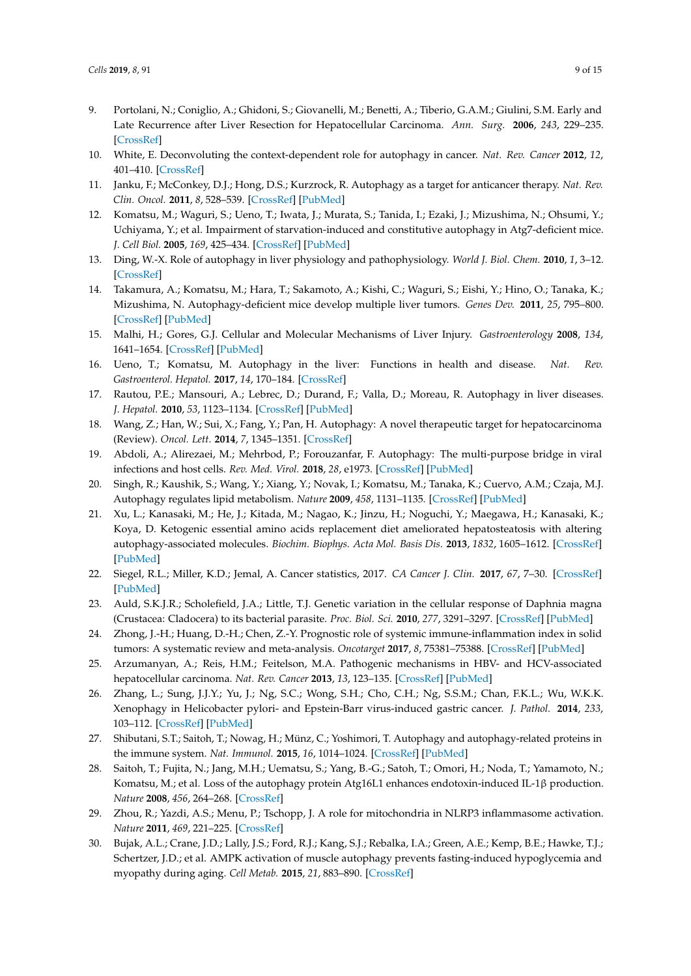- <span id="page-8-0"></span>9. Portolani, N.; Coniglio, A.; Ghidoni, S.; Giovanelli, M.; Benetti, A.; Tiberio, G.A.M.; Giulini, S.M. Early and Late Recurrence after Liver Resection for Hepatocellular Carcinoma. *Ann. Surg.* **2006**, *243*, 229–235. [\[CrossRef\]](http://dx.doi.org/10.1097/01.sla.0000197706.21803.a1)
- <span id="page-8-1"></span>10. White, E. Deconvoluting the context-dependent role for autophagy in cancer. *Nat. Rev. Cancer* **2012**, *12*, 401–410. [\[CrossRef\]](http://dx.doi.org/10.1038/nrc3262)
- <span id="page-8-2"></span>11. Janku, F.; McConkey, D.J.; Hong, D.S.; Kurzrock, R. Autophagy as a target for anticancer therapy. *Nat. Rev. Clin. Oncol.* **2011**, *8*, 528–539. [\[CrossRef\]](http://dx.doi.org/10.1038/nrclinonc.2011.71) [\[PubMed\]](http://www.ncbi.nlm.nih.gov/pubmed/21587219)
- <span id="page-8-3"></span>12. Komatsu, M.; Waguri, S.; Ueno, T.; Iwata, J.; Murata, S.; Tanida, I.; Ezaki, J.; Mizushima, N.; Ohsumi, Y.; Uchiyama, Y.; et al. Impairment of starvation-induced and constitutive autophagy in Atg7-deficient mice. *J. Cell Biol.* **2005**, *169*, 425–434. [\[CrossRef\]](http://dx.doi.org/10.1083/jcb.200412022) [\[PubMed\]](http://www.ncbi.nlm.nih.gov/pubmed/15866887)
- <span id="page-8-4"></span>13. Ding, W.-X. Role of autophagy in liver physiology and pathophysiology. *World J. Biol. Chem.* **2010**, *1*, 3–12. [\[CrossRef\]](http://dx.doi.org/10.4331/wjbc.v1.i1.3)
- <span id="page-8-5"></span>14. Takamura, A.; Komatsu, M.; Hara, T.; Sakamoto, A.; Kishi, C.; Waguri, S.; Eishi, Y.; Hino, O.; Tanaka, K.; Mizushima, N. Autophagy-deficient mice develop multiple liver tumors. *Genes Dev.* **2011**, *25*, 795–800. [\[CrossRef\]](http://dx.doi.org/10.1101/gad.2016211) [\[PubMed\]](http://www.ncbi.nlm.nih.gov/pubmed/21498569)
- <span id="page-8-6"></span>15. Malhi, H.; Gores, G.J. Cellular and Molecular Mechanisms of Liver Injury. *Gastroenterology* **2008**, *134*, 1641–1654. [\[CrossRef\]](http://dx.doi.org/10.1053/j.gastro.2008.03.002) [\[PubMed\]](http://www.ncbi.nlm.nih.gov/pubmed/18471544)
- <span id="page-8-7"></span>16. Ueno, T.; Komatsu, M. Autophagy in the liver: Functions in health and disease. *Nat. Rev. Gastroenterol. Hepatol.* **2017**, *14*, 170–184. [\[CrossRef\]](http://dx.doi.org/10.1038/nrgastro.2016.185)
- <span id="page-8-8"></span>17. Rautou, P.E.; Mansouri, A.; Lebrec, D.; Durand, F.; Valla, D.; Moreau, R. Autophagy in liver diseases. *J. Hepatol.* **2010**, *53*, 1123–1134. [\[CrossRef\]](http://dx.doi.org/10.1016/j.jhep.2010.07.006) [\[PubMed\]](http://www.ncbi.nlm.nih.gov/pubmed/20810185)
- <span id="page-8-9"></span>18. Wang, Z.; Han, W.; Sui, X.; Fang, Y.; Pan, H. Autophagy: A novel therapeutic target for hepatocarcinoma (Review). *Oncol. Lett.* **2014**, *7*, 1345–1351. [\[CrossRef\]](http://dx.doi.org/10.3892/ol.2014.1916)
- <span id="page-8-10"></span>19. Abdoli, A.; Alirezaei, M.; Mehrbod, P.; Forouzanfar, F. Autophagy: The multi-purpose bridge in viral infections and host cells. *Rev. Med. Virol.* **2018**, *28*, e1973. [\[CrossRef\]](http://dx.doi.org/10.1002/rmv.1973) [\[PubMed\]](http://www.ncbi.nlm.nih.gov/pubmed/29709097)
- <span id="page-8-11"></span>20. Singh, R.; Kaushik, S.; Wang, Y.; Xiang, Y.; Novak, I.; Komatsu, M.; Tanaka, K.; Cuervo, A.M.; Czaja, M.J. Autophagy regulates lipid metabolism. *Nature* **2009**, *458*, 1131–1135. [\[CrossRef\]](http://dx.doi.org/10.1038/nature07976) [\[PubMed\]](http://www.ncbi.nlm.nih.gov/pubmed/19339967)
- <span id="page-8-12"></span>21. Xu, L.; Kanasaki, M.; He, J.; Kitada, M.; Nagao, K.; Jinzu, H.; Noguchi, Y.; Maegawa, H.; Kanasaki, K.; Koya, D. Ketogenic essential amino acids replacement diet ameliorated hepatosteatosis with altering autophagy-associated molecules. *Biochim. Biophys. Acta Mol. Basis Dis.* **2013**, *1832*, 1605–1612. [\[CrossRef\]](http://dx.doi.org/10.1016/j.bbadis.2013.05.003) [\[PubMed\]](http://www.ncbi.nlm.nih.gov/pubmed/23669346)
- <span id="page-8-13"></span>22. Siegel, R.L.; Miller, K.D.; Jemal, A. Cancer statistics, 2017. *CA Cancer J. Clin.* **2017**, *67*, 7–30. [\[CrossRef\]](http://dx.doi.org/10.3322/caac.21387) [\[PubMed\]](http://www.ncbi.nlm.nih.gov/pubmed/28055103)
- <span id="page-8-14"></span>23. Auld, S.K.J.R.; Scholefield, J.A.; Little, T.J. Genetic variation in the cellular response of Daphnia magna (Crustacea: Cladocera) to its bacterial parasite. *Proc. Biol. Sci.* **2010**, *277*, 3291–3297. [\[CrossRef\]](http://dx.doi.org/10.1098/rspb.2010.0772) [\[PubMed\]](http://www.ncbi.nlm.nih.gov/pubmed/20534618)
- <span id="page-8-15"></span>24. Zhong, J.-H.; Huang, D.-H.; Chen, Z.-Y. Prognostic role of systemic immune-inflammation index in solid tumors: A systematic review and meta-analysis. *Oncotarget* **2017**, *8*, 75381–75388. [\[CrossRef\]](http://dx.doi.org/10.18632/oncotarget.18856) [\[PubMed\]](http://www.ncbi.nlm.nih.gov/pubmed/29088873)
- <span id="page-8-16"></span>25. Arzumanyan, A.; Reis, H.M.; Feitelson, M.A. Pathogenic mechanisms in HBV- and HCV-associated hepatocellular carcinoma. *Nat. Rev. Cancer* **2013**, *13*, 123–135. [\[CrossRef\]](http://dx.doi.org/10.1038/nrc3449) [\[PubMed\]](http://www.ncbi.nlm.nih.gov/pubmed/23344543)
- <span id="page-8-17"></span>26. Zhang, L.; Sung, J.J.Y.; Yu, J.; Ng, S.C.; Wong, S.H.; Cho, C.H.; Ng, S.S.M.; Chan, F.K.L.; Wu, W.K.K. Xenophagy in Helicobacter pylori- and Epstein-Barr virus-induced gastric cancer. *J. Pathol.* **2014**, *233*, 103–112. [\[CrossRef\]](http://dx.doi.org/10.1002/path.4351) [\[PubMed\]](http://www.ncbi.nlm.nih.gov/pubmed/24633785)
- 27. Shibutani, S.T.; Saitoh, T.; Nowag, H.; Münz, C.; Yoshimori, T. Autophagy and autophagy-related proteins in the immune system. *Nat. Immunol.* **2015**, *16*, 1014–1024. [\[CrossRef\]](http://dx.doi.org/10.1038/ni.3273) [\[PubMed\]](http://www.ncbi.nlm.nih.gov/pubmed/26382870)
- <span id="page-8-20"></span>28. Saitoh, T.; Fujita, N.; Jang, M.H.; Uematsu, S.; Yang, B.-G.; Satoh, T.; Omori, H.; Noda, T.; Yamamoto, N.; Komatsu, M.; et al. Loss of the autophagy protein Atg16L1 enhances endotoxin-induced IL-1β production. *Nature* **2008**, *456*, 264–268. [\[CrossRef\]](http://dx.doi.org/10.1038/nature07383)
- <span id="page-8-18"></span>29. Zhou, R.; Yazdi, A.S.; Menu, P.; Tschopp, J. A role for mitochondria in NLRP3 inflammasome activation. *Nature* **2011**, *469*, 221–225. [\[CrossRef\]](http://dx.doi.org/10.1038/nature09663)
- <span id="page-8-19"></span>30. Bujak, A.L.; Crane, J.D.; Lally, J.S.; Ford, R.J.; Kang, S.J.; Rebalka, I.A.; Green, A.E.; Kemp, B.E.; Hawke, T.J.; Schertzer, J.D.; et al. AMPK activation of muscle autophagy prevents fasting-induced hypoglycemia and myopathy during aging. *Cell Metab.* **2015**, *21*, 883–890. [\[CrossRef\]](http://dx.doi.org/10.1016/j.cmet.2015.05.016)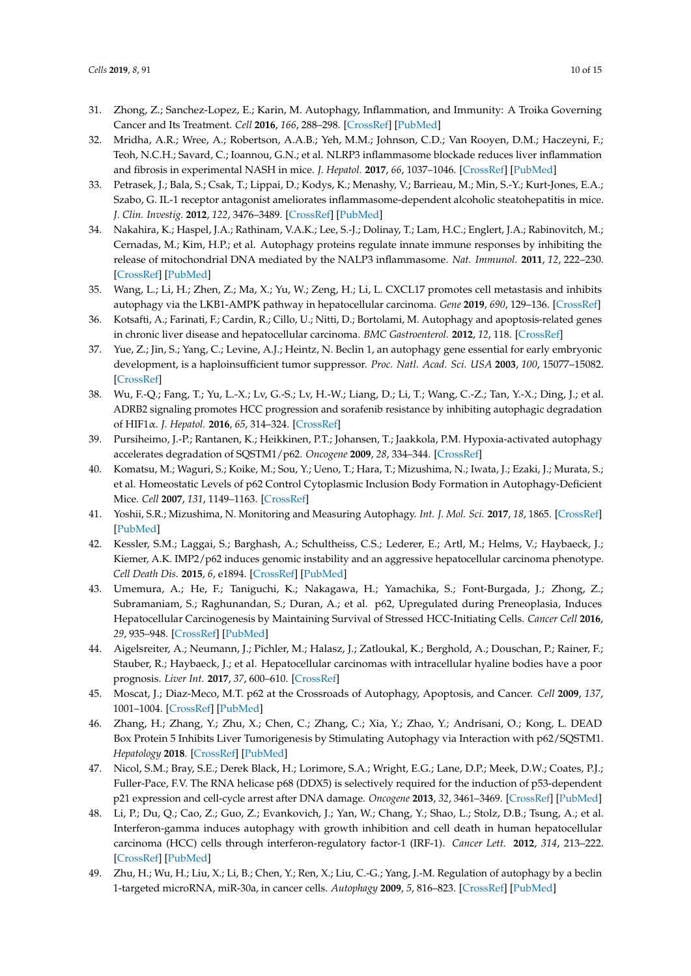- <span id="page-9-0"></span>31. Zhong, Z.; Sanchez-Lopez, E.; Karin, M. Autophagy, Inflammation, and Immunity: A Troika Governing Cancer and Its Treatment. *Cell* **2016**, *166*, 288–298. [\[CrossRef\]](http://dx.doi.org/10.1016/j.cell.2016.05.051) [\[PubMed\]](http://www.ncbi.nlm.nih.gov/pubmed/27419869)
- <span id="page-9-1"></span>32. Mridha, A.R.; Wree, A.; Robertson, A.A.B.; Yeh, M.M.; Johnson, C.D.; Van Rooyen, D.M.; Haczeyni, F.; Teoh, N.C.H.; Savard, C.; Ioannou, G.N.; et al. NLRP3 inflammasome blockade reduces liver inflammation and fibrosis in experimental NASH in mice. *J. Hepatol.* **2017**, *66*, 1037–1046. [\[CrossRef\]](http://dx.doi.org/10.1016/j.jhep.2017.01.022) [\[PubMed\]](http://www.ncbi.nlm.nih.gov/pubmed/28167322)
- <span id="page-9-2"></span>33. Petrasek, J.; Bala, S.; Csak, T.; Lippai, D.; Kodys, K.; Menashy, V.; Barrieau, M.; Min, S.-Y.; Kurt-Jones, E.A.; Szabo, G. IL-1 receptor antagonist ameliorates inflammasome-dependent alcoholic steatohepatitis in mice. *J. Clin. Investig.* **2012**, *122*, 3476–3489. [\[CrossRef\]](http://dx.doi.org/10.1172/JCI60777) [\[PubMed\]](http://www.ncbi.nlm.nih.gov/pubmed/22945633)
- <span id="page-9-3"></span>34. Nakahira, K.; Haspel, J.A.; Rathinam, V.A.K.; Lee, S.-J.; Dolinay, T.; Lam, H.C.; Englert, J.A.; Rabinovitch, M.; Cernadas, M.; Kim, H.P.; et al. Autophagy proteins regulate innate immune responses by inhibiting the release of mitochondrial DNA mediated by the NALP3 inflammasome. *Nat. Immunol.* **2011**, *12*, 222–230. [\[CrossRef\]](http://dx.doi.org/10.1038/ni.1980) [\[PubMed\]](http://www.ncbi.nlm.nih.gov/pubmed/21151103)
- <span id="page-9-4"></span>35. Wang, L.; Li, H.; Zhen, Z.; Ma, X.; Yu, W.; Zeng, H.; Li, L. CXCL17 promotes cell metastasis and inhibits autophagy via the LKB1-AMPK pathway in hepatocellular carcinoma. *Gene* **2019**, *690*, 129–136. [\[CrossRef\]](http://dx.doi.org/10.1016/j.gene.2018.12.043)
- <span id="page-9-5"></span>36. Kotsafti, A.; Farinati, F.; Cardin, R.; Cillo, U.; Nitti, D.; Bortolami, M. Autophagy and apoptosis-related genes in chronic liver disease and hepatocellular carcinoma. *BMC Gastroenterol.* **2012**, *12*, 118. [\[CrossRef\]](http://dx.doi.org/10.1186/1471-230X-12-118)
- <span id="page-9-6"></span>37. Yue, Z.; Jin, S.; Yang, C.; Levine, A.J.; Heintz, N. Beclin 1, an autophagy gene essential for early embryonic development, is a haploinsufficient tumor suppressor. *Proc. Natl. Acad. Sci. USA* **2003**, *100*, 15077–15082. [\[CrossRef\]](http://dx.doi.org/10.1073/pnas.2436255100)
- <span id="page-9-7"></span>38. Wu, F.-Q.; Fang, T.; Yu, L.-X.; Lv, G.-S.; Lv, H.-W.; Liang, D.; Li, T.; Wang, C.-Z.; Tan, Y.-X.; Ding, J.; et al. ADRB2 signaling promotes HCC progression and sorafenib resistance by inhibiting autophagic degradation of HIF1α. *J. Hepatol.* **2016**, *65*, 314–324. [\[CrossRef\]](http://dx.doi.org/10.1016/j.jhep.2016.04.019)
- <span id="page-9-8"></span>39. Pursiheimo, J.-P.; Rantanen, K.; Heikkinen, P.T.; Johansen, T.; Jaakkola, P.M. Hypoxia-activated autophagy accelerates degradation of SQSTM1/p62. *Oncogene* **2009**, *28*, 334–344. [\[CrossRef\]](http://dx.doi.org/10.1038/onc.2008.392)
- <span id="page-9-9"></span>40. Komatsu, M.; Waguri, S.; Koike, M.; Sou, Y.; Ueno, T.; Hara, T.; Mizushima, N.; Iwata, J.; Ezaki, J.; Murata, S.; et al. Homeostatic Levels of p62 Control Cytoplasmic Inclusion Body Formation in Autophagy-Deficient Mice. *Cell* **2007**, *131*, 1149–1163. [\[CrossRef\]](http://dx.doi.org/10.1016/j.cell.2007.10.035)
- <span id="page-9-10"></span>41. Yoshii, S.R.; Mizushima, N. Monitoring and Measuring Autophagy. *Int. J. Mol. Sci.* **2017**, *18*, 1865. [\[CrossRef\]](http://dx.doi.org/10.3390/ijms18091865) [\[PubMed\]](http://www.ncbi.nlm.nih.gov/pubmed/28846632)
- <span id="page-9-11"></span>42. Kessler, S.M.; Laggai, S.; Barghash, A.; Schultheiss, C.S.; Lederer, E.; Artl, M.; Helms, V.; Haybaeck, J.; Kiemer, A.K. IMP2/p62 induces genomic instability and an aggressive hepatocellular carcinoma phenotype. *Cell Death Dis.* **2015**, *6*, e1894. [\[CrossRef\]](http://dx.doi.org/10.1038/cddis.2015.241) [\[PubMed\]](http://www.ncbi.nlm.nih.gov/pubmed/26426686)
- <span id="page-9-12"></span>43. Umemura, A.; He, F.; Taniguchi, K.; Nakagawa, H.; Yamachika, S.; Font-Burgada, J.; Zhong, Z.; Subramaniam, S.; Raghunandan, S.; Duran, A.; et al. p62, Upregulated during Preneoplasia, Induces Hepatocellular Carcinogenesis by Maintaining Survival of Stressed HCC-Initiating Cells. *Cancer Cell* **2016**, *29*, 935–948. [\[CrossRef\]](http://dx.doi.org/10.1016/j.ccell.2016.04.006) [\[PubMed\]](http://www.ncbi.nlm.nih.gov/pubmed/27211490)
- <span id="page-9-13"></span>44. Aigelsreiter, A.; Neumann, J.; Pichler, M.; Halasz, J.; Zatloukal, K.; Berghold, A.; Douschan, P.; Rainer, F.; Stauber, R.; Haybaeck, J.; et al. Hepatocellular carcinomas with intracellular hyaline bodies have a poor prognosis. *Liver Int.* **2017**, *37*, 600–610. [\[CrossRef\]](http://dx.doi.org/10.1111/liv.13325)
- <span id="page-9-14"></span>45. Moscat, J.; Diaz-Meco, M.T. p62 at the Crossroads of Autophagy, Apoptosis, and Cancer. *Cell* **2009**, *137*, 1001–1004. [\[CrossRef\]](http://dx.doi.org/10.1016/j.cell.2009.05.023) [\[PubMed\]](http://www.ncbi.nlm.nih.gov/pubmed/19524504)
- <span id="page-9-15"></span>46. Zhang, H.; Zhang, Y.; Zhu, X.; Chen, C.; Zhang, C.; Xia, Y.; Zhao, Y.; Andrisani, O.; Kong, L. DEAD Box Protein 5 Inhibits Liver Tumorigenesis by Stimulating Autophagy via Interaction with p62/SQSTM1. *Hepatology* **2018**. [\[CrossRef\]](http://dx.doi.org/10.1002/hep.30300) [\[PubMed\]](http://www.ncbi.nlm.nih.gov/pubmed/30281815)
- <span id="page-9-16"></span>47. Nicol, S.M.; Bray, S.E.; Derek Black, H.; Lorimore, S.A.; Wright, E.G.; Lane, D.P.; Meek, D.W.; Coates, P.J.; Fuller-Pace, F.V. The RNA helicase p68 (DDX5) is selectively required for the induction of p53-dependent p21 expression and cell-cycle arrest after DNA damage. *Oncogene* **2013**, *32*, 3461–3469. [\[CrossRef\]](http://dx.doi.org/10.1038/onc.2012.426) [\[PubMed\]](http://www.ncbi.nlm.nih.gov/pubmed/22986526)
- <span id="page-9-17"></span>48. Li, P.; Du, Q.; Cao, Z.; Guo, Z.; Evankovich, J.; Yan, W.; Chang, Y.; Shao, L.; Stolz, D.B.; Tsung, A.; et al. Interferon-gamma induces autophagy with growth inhibition and cell death in human hepatocellular carcinoma (HCC) cells through interferon-regulatory factor-1 (IRF-1). *Cancer Lett.* **2012**, *314*, 213–222. [\[CrossRef\]](http://dx.doi.org/10.1016/j.canlet.2011.09.031) [\[PubMed\]](http://www.ncbi.nlm.nih.gov/pubmed/22056812)
- <span id="page-9-18"></span>49. Zhu, H.; Wu, H.; Liu, X.; Li, B.; Chen, Y.; Ren, X.; Liu, C.-G.; Yang, J.-M. Regulation of autophagy by a beclin 1-targeted microRNA, miR-30a, in cancer cells. *Autophagy* **2009**, *5*, 816–823. [\[CrossRef\]](http://dx.doi.org/10.4161/auto.9064) [\[PubMed\]](http://www.ncbi.nlm.nih.gov/pubmed/19535919)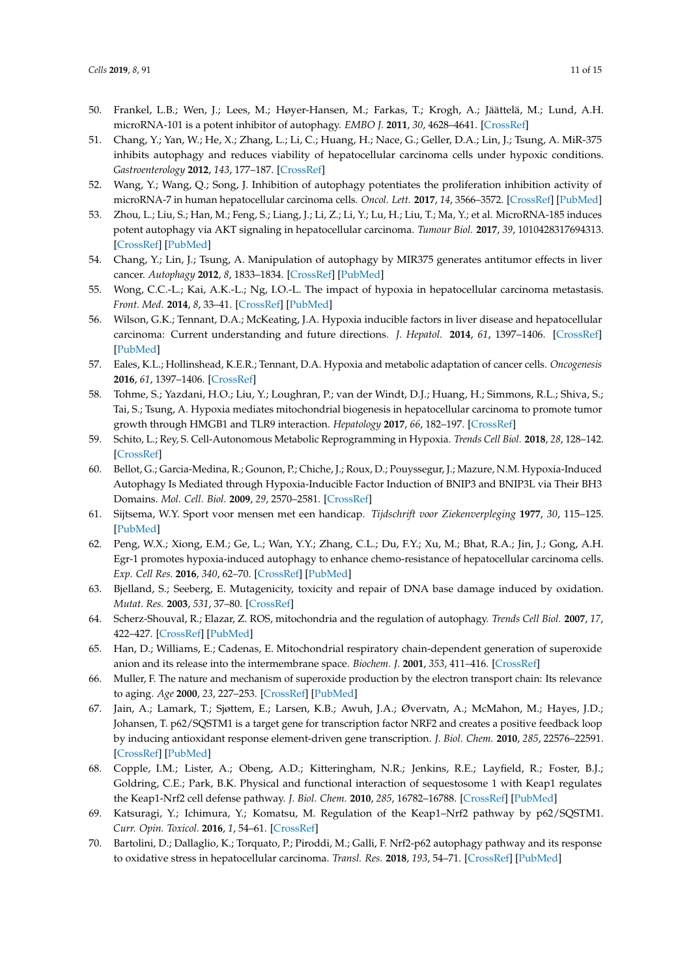- 50. Frankel, L.B.; Wen, J.; Lees, M.; Høyer-Hansen, M.; Farkas, T.; Krogh, A.; Jäättelä, M.; Lund, A.H. microRNA-101 is a potent inhibitor of autophagy. *EMBO J.* **2011**, *30*, 4628–4641. [\[CrossRef\]](http://dx.doi.org/10.1038/emboj.2011.331)
- <span id="page-10-0"></span>51. Chang, Y.; Yan, W.; He, X.; Zhang, L.; Li, C.; Huang, H.; Nace, G.; Geller, D.A.; Lin, J.; Tsung, A. MiR-375 inhibits autophagy and reduces viability of hepatocellular carcinoma cells under hypoxic conditions. *Gastroenterology* **2012**, *143*, 177–187. [\[CrossRef\]](http://dx.doi.org/10.1053/j.gastro.2012.04.009)
- <span id="page-10-1"></span>52. Wang, Y.; Wang, Q.; Song, J. Inhibition of autophagy potentiates the proliferation inhibition activity of microRNA-7 in human hepatocellular carcinoma cells. *Oncol. Lett.* **2017**, *14*, 3566–3572. [\[CrossRef\]](http://dx.doi.org/10.3892/ol.2017.6573) [\[PubMed\]](http://www.ncbi.nlm.nih.gov/pubmed/28927113)
- <span id="page-10-2"></span>53. Zhou, L.; Liu, S.; Han, M.; Feng, S.; Liang, J.; Li, Z.; Li, Y.; Lu, H.; Liu, T.; Ma, Y.; et al. MicroRNA-185 induces potent autophagy via AKT signaling in hepatocellular carcinoma. *Tumour Biol.* **2017**, *39*, 1010428317694313. [\[CrossRef\]](http://dx.doi.org/10.1177/1010428317694313) [\[PubMed\]](http://www.ncbi.nlm.nih.gov/pubmed/28240051)
- <span id="page-10-3"></span>54. Chang, Y.; Lin, J.; Tsung, A. Manipulation of autophagy by MIR375 generates antitumor effects in liver cancer. *Autophagy* **2012**, *8*, 1833–1834. [\[CrossRef\]](http://dx.doi.org/10.4161/auto.21796) [\[PubMed\]](http://www.ncbi.nlm.nih.gov/pubmed/22929050)
- <span id="page-10-4"></span>55. Wong, C.C.-L.; Kai, A.K.-L.; Ng, I.O.-L. The impact of hypoxia in hepatocellular carcinoma metastasis. *Front. Med.* **2014**, *8*, 33–41. [\[CrossRef\]](http://dx.doi.org/10.1007/s11684-013-0301-3) [\[PubMed\]](http://www.ncbi.nlm.nih.gov/pubmed/24234682)
- <span id="page-10-5"></span>56. Wilson, G.K.; Tennant, D.A.; McKeating, J.A. Hypoxia inducible factors in liver disease and hepatocellular carcinoma: Current understanding and future directions. *J. Hepatol.* **2014**, *61*, 1397–1406. [\[CrossRef\]](http://dx.doi.org/10.1016/j.jhep.2014.08.025) [\[PubMed\]](http://www.ncbi.nlm.nih.gov/pubmed/25157983)
- <span id="page-10-6"></span>57. Eales, K.L.; Hollinshead, K.E.R.; Tennant, D.A. Hypoxia and metabolic adaptation of cancer cells. *Oncogenesis* **2016**, *61*, 1397–1406. [\[CrossRef\]](http://dx.doi.org/10.1038/oncsis.2015.50)
- 58. Tohme, S.; Yazdani, H.O.; Liu, Y.; Loughran, P.; van der Windt, D.J.; Huang, H.; Simmons, R.L.; Shiva, S.; Tai, S.; Tsung, A. Hypoxia mediates mitochondrial biogenesis in hepatocellular carcinoma to promote tumor growth through HMGB1 and TLR9 interaction. *Hepatology* **2017**, *66*, 182–197. [\[CrossRef\]](http://dx.doi.org/10.1002/hep.29184)
- <span id="page-10-7"></span>59. Schito, L.; Rey, S. Cell-Autonomous Metabolic Reprogramming in Hypoxia. *Trends Cell Biol.* **2018**, *28*, 128–142. [\[CrossRef\]](http://dx.doi.org/10.1016/j.tcb.2017.10.006)
- <span id="page-10-8"></span>60. Bellot, G.; Garcia-Medina, R.; Gounon, P.; Chiche, J.; Roux, D.; Pouyssegur, J.; Mazure, N.M. Hypoxia-Induced Autophagy Is Mediated through Hypoxia-Inducible Factor Induction of BNIP3 and BNIP3L via Their BH3 Domains. *Mol. Cell. Biol.* **2009**, *29*, 2570–2581. [\[CrossRef\]](http://dx.doi.org/10.1128/MCB.00166-09)
- <span id="page-10-9"></span>61. Sijtsema, W.Y. Sport voor mensen met een handicap. *Tijdschrift voor Ziekenverpleging* **1977**, *30*, 115–125. [\[PubMed\]](http://www.ncbi.nlm.nih.gov/pubmed/138964)
- <span id="page-10-10"></span>62. Peng, W.X.; Xiong, E.M.; Ge, L.; Wan, Y.Y.; Zhang, C.L.; Du, F.Y.; Xu, M.; Bhat, R.A.; Jin, J.; Gong, A.H. Egr-1 promotes hypoxia-induced autophagy to enhance chemo-resistance of hepatocellular carcinoma cells. *Exp. Cell Res.* **2016**, *340*, 62–70. [\[CrossRef\]](http://dx.doi.org/10.1016/j.yexcr.2015.12.006) [\[PubMed\]](http://www.ncbi.nlm.nih.gov/pubmed/26708617)
- <span id="page-10-11"></span>63. Bjelland, S.; Seeberg, E. Mutagenicity, toxicity and repair of DNA base damage induced by oxidation. *Mutat. Res.* **2003**, *531*, 37–80. [\[CrossRef\]](http://dx.doi.org/10.1016/j.mrfmmm.2003.07.002)
- <span id="page-10-12"></span>64. Scherz-Shouval, R.; Elazar, Z. ROS, mitochondria and the regulation of autophagy. *Trends Cell Biol.* **2007**, *17*, 422–427. [\[CrossRef\]](http://dx.doi.org/10.1016/j.tcb.2007.07.009) [\[PubMed\]](http://www.ncbi.nlm.nih.gov/pubmed/17804237)
- <span id="page-10-13"></span>65. Han, D.; Williams, E.; Cadenas, E. Mitochondrial respiratory chain-dependent generation of superoxide anion and its release into the intermembrane space. *Biochem. J.* **2001**, *353*, 411–416. [\[CrossRef\]](http://dx.doi.org/10.1042/bj3530411)
- <span id="page-10-14"></span>66. Muller, F. The nature and mechanism of superoxide production by the electron transport chain: Its relevance to aging. *Age* **2000**, *23*, 227–253. [\[CrossRef\]](http://dx.doi.org/10.1007/s11357-000-0022-9) [\[PubMed\]](http://www.ncbi.nlm.nih.gov/pubmed/23604868)
- <span id="page-10-15"></span>67. Jain, A.; Lamark, T.; Sjøttem, E.; Larsen, K.B.; Awuh, J.A.; Øvervatn, A.; McMahon, M.; Hayes, J.D.; Johansen, T. p62/SQSTM1 is a target gene for transcription factor NRF2 and creates a positive feedback loop by inducing antioxidant response element-driven gene transcription. *J. Biol. Chem.* **2010**, *285*, 22576–22591. [\[CrossRef\]](http://dx.doi.org/10.1074/jbc.M110.118976) [\[PubMed\]](http://www.ncbi.nlm.nih.gov/pubmed/20452972)
- <span id="page-10-16"></span>68. Copple, I.M.; Lister, A.; Obeng, A.D.; Kitteringham, N.R.; Jenkins, R.E.; Layfield, R.; Foster, B.J.; Goldring, C.E.; Park, B.K. Physical and functional interaction of sequestosome 1 with Keap1 regulates the Keap1-Nrf2 cell defense pathway. *J. Biol. Chem.* **2010**, *285*, 16782–16788. [\[CrossRef\]](http://dx.doi.org/10.1074/jbc.M109.096545) [\[PubMed\]](http://www.ncbi.nlm.nih.gov/pubmed/20378532)
- <span id="page-10-17"></span>69. Katsuragi, Y.; Ichimura, Y.; Komatsu, M. Regulation of the Keap1–Nrf2 pathway by p62/SQSTM1. *Curr. Opin. Toxicol.* **2016**, *1*, 54–61. [\[CrossRef\]](http://dx.doi.org/10.1016/j.cotox.2016.09.005)
- <span id="page-10-18"></span>70. Bartolini, D.; Dallaglio, K.; Torquato, P.; Piroddi, M.; Galli, F. Nrf2-p62 autophagy pathway and its response to oxidative stress in hepatocellular carcinoma. *Transl. Res.* **2018**, *193*, 54–71. [\[CrossRef\]](http://dx.doi.org/10.1016/j.trsl.2017.11.007) [\[PubMed\]](http://www.ncbi.nlm.nih.gov/pubmed/29274776)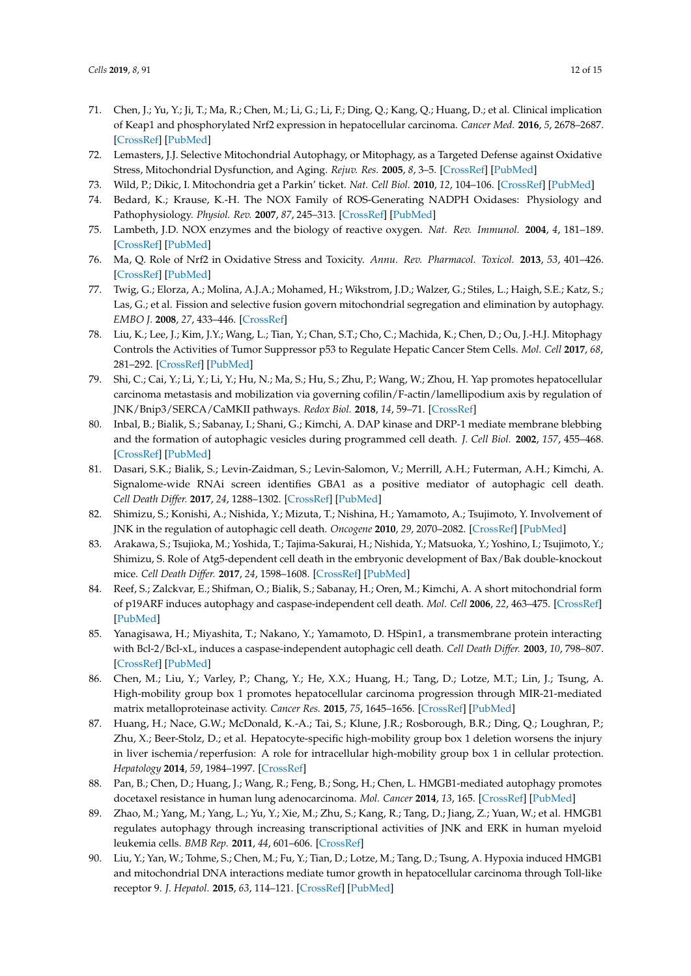- <span id="page-11-0"></span>71. Chen, J.; Yu, Y.; Ji, T.; Ma, R.; Chen, M.; Li, G.; Li, F.; Ding, Q.; Kang, Q.; Huang, D.; et al. Clinical implication of Keap1 and phosphorylated Nrf2 expression in hepatocellular carcinoma. *Cancer Med.* **2016**, *5*, 2678–2687. [\[CrossRef\]](http://dx.doi.org/10.1002/cam4.788) [\[PubMed\]](http://www.ncbi.nlm.nih.gov/pubmed/27650414)
- <span id="page-11-1"></span>72. Lemasters, J.J. Selective Mitochondrial Autophagy, or Mitophagy, as a Targeted Defense against Oxidative Stress, Mitochondrial Dysfunction, and Aging. *Rejuv. Res.* **2005**, *8*, 3–5. [\[CrossRef\]](http://dx.doi.org/10.1089/rej.2005.8.3) [\[PubMed\]](http://www.ncbi.nlm.nih.gov/pubmed/15798367)
- <span id="page-11-2"></span>73. Wild, P.; Dikic, I. Mitochondria get a Parkin' ticket. *Nat. Cell Biol.* **2010**, *12*, 104–106. [\[CrossRef\]](http://dx.doi.org/10.1038/ncb0210-104) [\[PubMed\]](http://www.ncbi.nlm.nih.gov/pubmed/20118996)
- <span id="page-11-3"></span>74. Bedard, K.; Krause, K.-H. The NOX Family of ROS-Generating NADPH Oxidases: Physiology and Pathophysiology. *Physiol. Rev.* **2007**, *87*, 245–313. [\[CrossRef\]](http://dx.doi.org/10.1152/physrev.00044.2005) [\[PubMed\]](http://www.ncbi.nlm.nih.gov/pubmed/17237347)
- <span id="page-11-4"></span>75. Lambeth, J.D. NOX enzymes and the biology of reactive oxygen. *Nat. Rev. Immunol.* **2004**, *4*, 181–189. [\[CrossRef\]](http://dx.doi.org/10.1038/nri1312) [\[PubMed\]](http://www.ncbi.nlm.nih.gov/pubmed/15039755)
- <span id="page-11-5"></span>76. Ma, Q. Role of Nrf2 in Oxidative Stress and Toxicity. *Annu. Rev. Pharmacol. Toxicol.* **2013**, *53*, 401–426. [\[CrossRef\]](http://dx.doi.org/10.1146/annurev-pharmtox-011112-140320) [\[PubMed\]](http://www.ncbi.nlm.nih.gov/pubmed/23294312)
- <span id="page-11-6"></span>77. Twig, G.; Elorza, A.; Molina, A.J.A.; Mohamed, H.; Wikstrom, J.D.; Walzer, G.; Stiles, L.; Haigh, S.E.; Katz, S.; Las, G.; et al. Fission and selective fusion govern mitochondrial segregation and elimination by autophagy. *EMBO J.* **2008**, *27*, 433–446. [\[CrossRef\]](http://dx.doi.org/10.1038/sj.emboj.7601963)
- <span id="page-11-7"></span>78. Liu, K.; Lee, J.; Kim, J.Y.; Wang, L.; Tian, Y.; Chan, S.T.; Cho, C.; Machida, K.; Chen, D.; Ou, J.-H.J. Mitophagy Controls the Activities of Tumor Suppressor p53 to Regulate Hepatic Cancer Stem Cells. *Mol. Cell* **2017**, *68*, 281–292. [\[CrossRef\]](http://dx.doi.org/10.1016/j.molcel.2017.09.022) [\[PubMed\]](http://www.ncbi.nlm.nih.gov/pubmed/29033320)
- <span id="page-11-8"></span>79. Shi, C.; Cai, Y.; Li, Y.; Li, Y.; Hu, N.; Ma, S.; Hu, S.; Zhu, P.; Wang, W.; Zhou, H. Yap promotes hepatocellular carcinoma metastasis and mobilization via governing cofilin/F-actin/lamellipodium axis by regulation of JNK/Bnip3/SERCA/CaMKII pathways. *Redox Biol.* **2018**, *14*, 59–71. [\[CrossRef\]](http://dx.doi.org/10.1016/j.redox.2017.08.013)
- <span id="page-11-9"></span>80. Inbal, B.; Bialik, S.; Sabanay, I.; Shani, G.; Kimchi, A. DAP kinase and DRP-1 mediate membrane blebbing and the formation of autophagic vesicles during programmed cell death. *J. Cell Biol.* **2002**, *157*, 455–468. [\[CrossRef\]](http://dx.doi.org/10.1083/jcb.200109094) [\[PubMed\]](http://www.ncbi.nlm.nih.gov/pubmed/11980920)
- <span id="page-11-10"></span>81. Dasari, S.K.; Bialik, S.; Levin-Zaidman, S.; Levin-Salomon, V.; Merrill, A.H.; Futerman, A.H.; Kimchi, A. Signalome-wide RNAi screen identifies GBA1 as a positive mediator of autophagic cell death. *Cell Death Differ.* **2017**, *24*, 1288–1302. [\[CrossRef\]](http://dx.doi.org/10.1038/cdd.2017.80) [\[PubMed\]](http://www.ncbi.nlm.nih.gov/pubmed/28574511)
- <span id="page-11-11"></span>82. Shimizu, S.; Konishi, A.; Nishida, Y.; Mizuta, T.; Nishina, H.; Yamamoto, A.; Tsujimoto, Y. Involvement of JNK in the regulation of autophagic cell death. *Oncogene* **2010**, *29*, 2070–2082. [\[CrossRef\]](http://dx.doi.org/10.1038/onc.2009.487) [\[PubMed\]](http://www.ncbi.nlm.nih.gov/pubmed/20101227)
- <span id="page-11-12"></span>83. Arakawa, S.; Tsujioka, M.; Yoshida, T.; Tajima-Sakurai, H.; Nishida, Y.; Matsuoka, Y.; Yoshino, I.; Tsujimoto, Y.; Shimizu, S. Role of Atg5-dependent cell death in the embryonic development of Bax/Bak double-knockout mice. *Cell Death Differ.* **2017**, *24*, 1598–1608. [\[CrossRef\]](http://dx.doi.org/10.1038/cdd.2017.84) [\[PubMed\]](http://www.ncbi.nlm.nih.gov/pubmed/28574506)
- 84. Reef, S.; Zalckvar, E.; Shifman, O.; Bialik, S.; Sabanay, H.; Oren, M.; Kimchi, A. A short mitochondrial form of p19ARF induces autophagy and caspase-independent cell death. *Mol. Cell* **2006**, *22*, 463–475. [\[CrossRef\]](http://dx.doi.org/10.1016/j.molcel.2006.04.014) [\[PubMed\]](http://www.ncbi.nlm.nih.gov/pubmed/16713577)
- <span id="page-11-13"></span>85. Yanagisawa, H.; Miyashita, T.; Nakano, Y.; Yamamoto, D. HSpin1, a transmembrane protein interacting with Bcl-2/Bcl-xL, induces a caspase-independent autophagic cell death. *Cell Death Differ.* **2003**, *10*, 798–807. [\[CrossRef\]](http://dx.doi.org/10.1038/sj.cdd.4401246) [\[PubMed\]](http://www.ncbi.nlm.nih.gov/pubmed/12815463)
- <span id="page-11-14"></span>86. Chen, M.; Liu, Y.; Varley, P.; Chang, Y.; He, X.X.; Huang, H.; Tang, D.; Lotze, M.T.; Lin, J.; Tsung, A. High-mobility group box 1 promotes hepatocellular carcinoma progression through MIR-21-mediated matrix metalloproteinase activity. *Cancer Res.* **2015**, *75*, 1645–1656. [\[CrossRef\]](http://dx.doi.org/10.1158/0008-5472.CAN-14-2147) [\[PubMed\]](http://www.ncbi.nlm.nih.gov/pubmed/25720799)
- <span id="page-11-15"></span>87. Huang, H.; Nace, G.W.; McDonald, K.-A.; Tai, S.; Klune, J.R.; Rosborough, B.R.; Ding, Q.; Loughran, P.; Zhu, X.; Beer-Stolz, D.; et al. Hepatocyte-specific high-mobility group box 1 deletion worsens the injury in liver ischemia/reperfusion: A role for intracellular high-mobility group box 1 in cellular protection. *Hepatology* **2014**, *59*, 1984–1997. [\[CrossRef\]](http://dx.doi.org/10.1002/hep.26976)
- <span id="page-11-16"></span>88. Pan, B.; Chen, D.; Huang, J.; Wang, R.; Feng, B.; Song, H.; Chen, L. HMGB1-mediated autophagy promotes docetaxel resistance in human lung adenocarcinoma. *Mol. Cancer* **2014**, *13*, 165. [\[CrossRef\]](http://dx.doi.org/10.1186/1476-4598-13-165) [\[PubMed\]](http://www.ncbi.nlm.nih.gov/pubmed/24996221)
- <span id="page-11-17"></span>89. Zhao, M.; Yang, M.; Yang, L.; Yu, Y.; Xie, M.; Zhu, S.; Kang, R.; Tang, D.; Jiang, Z.; Yuan, W.; et al. HMGB1 regulates autophagy through increasing transcriptional activities of JNK and ERK in human myeloid leukemia cells. *BMB Rep.* **2011**, *44*, 601–606. [\[CrossRef\]](http://dx.doi.org/10.5483/BMBRep.2011.44.9.601)
- <span id="page-11-18"></span>90. Liu, Y.; Yan, W.; Tohme, S.; Chen, M.; Fu, Y.; Tian, D.; Lotze, M.; Tang, D.; Tsung, A. Hypoxia induced HMGB1 and mitochondrial DNA interactions mediate tumor growth in hepatocellular carcinoma through Toll-like receptor 9. *J. Hepatol.* **2015**, *63*, 114–121. [\[CrossRef\]](http://dx.doi.org/10.1016/j.jhep.2015.02.009) [\[PubMed\]](http://www.ncbi.nlm.nih.gov/pubmed/25681553)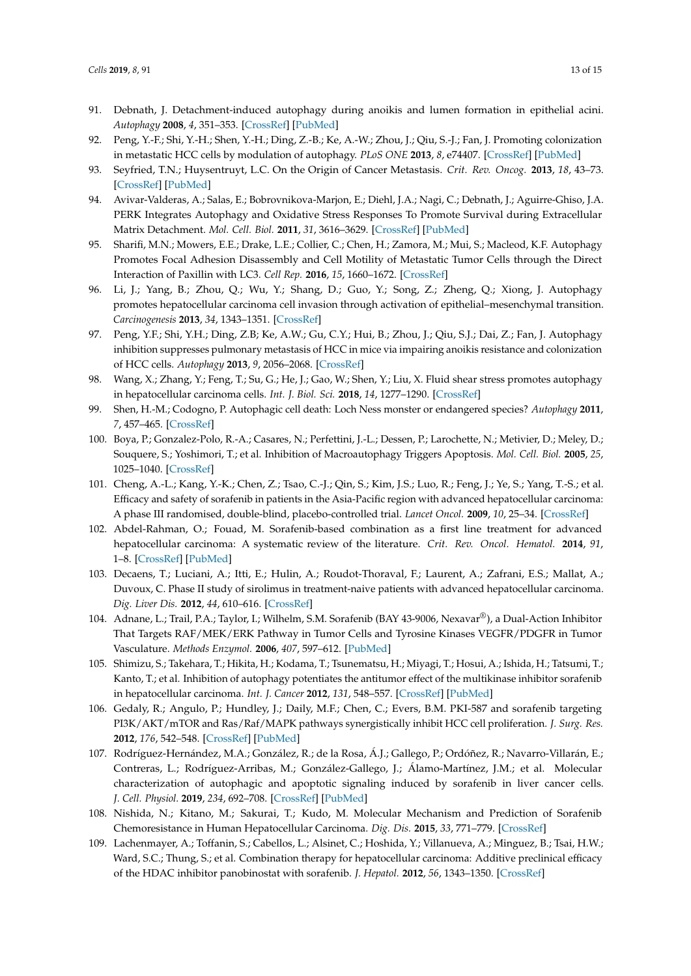- <span id="page-12-0"></span>91. Debnath, J. Detachment-induced autophagy during anoikis and lumen formation in epithelial acini. *Autophagy* **2008**, *4*, 351–353. [\[CrossRef\]](http://dx.doi.org/10.4161/auto.5523) [\[PubMed\]](http://www.ncbi.nlm.nih.gov/pubmed/18196957)
- <span id="page-12-1"></span>92. Peng, Y.-F.; Shi, Y.-H.; Shen, Y.-H.; Ding, Z.-B.; Ke, A.-W.; Zhou, J.; Qiu, S.-J.; Fan, J. Promoting colonization in metastatic HCC cells by modulation of autophagy. *PLoS ONE* **2013**, *8*, e74407. [\[CrossRef\]](http://dx.doi.org/10.1371/journal.pone.0074407) [\[PubMed\]](http://www.ncbi.nlm.nih.gov/pubmed/24058558)
- <span id="page-12-2"></span>93. Seyfried, T.N.; Huysentruyt, L.C. On the Origin of Cancer Metastasis. *Crit. Rev. Oncog.* **2013**, *18*, 43–73. [\[CrossRef\]](http://dx.doi.org/10.1615/CritRevOncog.v18.i1-2.40) [\[PubMed\]](http://www.ncbi.nlm.nih.gov/pubmed/23237552)
- <span id="page-12-3"></span>94. Avivar-Valderas, A.; Salas, E.; Bobrovnikova-Marjon, E.; Diehl, J.A.; Nagi, C.; Debnath, J.; Aguirre-Ghiso, J.A. PERK Integrates Autophagy and Oxidative Stress Responses To Promote Survival during Extracellular Matrix Detachment. *Mol. Cell. Biol.* **2011**, *31*, 3616–3629. [\[CrossRef\]](http://dx.doi.org/10.1128/MCB.05164-11) [\[PubMed\]](http://www.ncbi.nlm.nih.gov/pubmed/21709020)
- <span id="page-12-4"></span>95. Sharifi, M.N.; Mowers, E.E.; Drake, L.E.; Collier, C.; Chen, H.; Zamora, M.; Mui, S.; Macleod, K.F. Autophagy Promotes Focal Adhesion Disassembly and Cell Motility of Metastatic Tumor Cells through the Direct Interaction of Paxillin with LC3. *Cell Rep.* **2016**, *15*, 1660–1672. [\[CrossRef\]](http://dx.doi.org/10.1016/j.celrep.2016.04.065)
- <span id="page-12-5"></span>96. Li, J.; Yang, B.; Zhou, Q.; Wu, Y.; Shang, D.; Guo, Y.; Song, Z.; Zheng, Q.; Xiong, J. Autophagy promotes hepatocellular carcinoma cell invasion through activation of epithelial–mesenchymal transition. *Carcinogenesis* **2013**, *34*, 1343–1351. [\[CrossRef\]](http://dx.doi.org/10.1093/carcin/bgt063)
- <span id="page-12-6"></span>97. Peng, Y.F.; Shi, Y.H.; Ding, Z.B; Ke, A.W.; Gu, C.Y.; Hui, B.; Zhou, J.; Qiu, S.J.; Dai, Z.; Fan, J. Autophagy inhibition suppresses pulmonary metastasis of HCC in mice via impairing anoikis resistance and colonization of HCC cells. *Autophagy* **2013**, *9*, 2056–2068. [\[CrossRef\]](http://dx.doi.org/10.4161/auto.26398)
- <span id="page-12-7"></span>98. Wang, X.; Zhang, Y.; Feng, T.; Su, G.; He, J.; Gao, W.; Shen, Y.; Liu, X. Fluid shear stress promotes autophagy in hepatocellular carcinoma cells. *Int. J. Biol. Sci.* **2018**, *14*, 1277–1290. [\[CrossRef\]](http://dx.doi.org/10.7150/ijbs.27055)
- <span id="page-12-8"></span>99. Shen, H.-M.; Codogno, P. Autophagic cell death: Loch Ness monster or endangered species? *Autophagy* **2011**, *7*, 457–465. [\[CrossRef\]](http://dx.doi.org/10.4161/auto.7.5.14226)
- <span id="page-12-9"></span>100. Boya, P.; Gonzalez-Polo, R.-A.; Casares, N.; Perfettini, J.-L.; Dessen, P.; Larochette, N.; Metivier, D.; Meley, D.; Souquere, S.; Yoshimori, T.; et al. Inhibition of Macroautophagy Triggers Apoptosis. *Mol. Cell. Biol.* **2005**, *25*, 1025–1040. [\[CrossRef\]](http://dx.doi.org/10.1128/MCB.25.3.1025-1040.2005)
- <span id="page-12-10"></span>101. Cheng, A.-L.; Kang, Y.-K.; Chen, Z.; Tsao, C.-J.; Qin, S.; Kim, J.S.; Luo, R.; Feng, J.; Ye, S.; Yang, T.-S.; et al. Efficacy and safety of sorafenib in patients in the Asia-Pacific region with advanced hepatocellular carcinoma: A phase III randomised, double-blind, placebo-controlled trial. *Lancet Oncol.* **2009**, *10*, 25–34. [\[CrossRef\]](http://dx.doi.org/10.1016/S1470-2045(08)70285-7)
- <span id="page-12-11"></span>102. Abdel-Rahman, O.; Fouad, M. Sorafenib-based combination as a first line treatment for advanced hepatocellular carcinoma: A systematic review of the literature. *Crit. Rev. Oncol. Hematol.* **2014**, *91*, 1–8. [\[CrossRef\]](http://dx.doi.org/10.1016/j.critrevonc.2013.12.013) [\[PubMed\]](http://www.ncbi.nlm.nih.gov/pubmed/24457121)
- <span id="page-12-12"></span>103. Decaens, T.; Luciani, A.; Itti, E.; Hulin, A.; Roudot-Thoraval, F.; Laurent, A.; Zafrani, E.S.; Mallat, A.; Duvoux, C. Phase II study of sirolimus in treatment-naive patients with advanced hepatocellular carcinoma. *Dig. Liver Dis.* **2012**, *44*, 610–616. [\[CrossRef\]](http://dx.doi.org/10.1016/j.dld.2012.02.005)
- <span id="page-12-13"></span>104. Adnane, L.; Trail, P.A.; Taylor, I.; Wilhelm, S.M. Sorafenib (BAY 43-9006, Nexavar®), a Dual-Action Inhibitor That Targets RAF/MEK/ERK Pathway in Tumor Cells and Tyrosine Kinases VEGFR/PDGFR in Tumor Vasculature. *Methods Enzymol.* **2006**, *407*, 597–612. [\[PubMed\]](http://www.ncbi.nlm.nih.gov/pubmed/16757355)
- <span id="page-12-14"></span>105. Shimizu, S.; Takehara, T.; Hikita, H.; Kodama, T.; Tsunematsu, H.; Miyagi, T.; Hosui, A.; Ishida, H.; Tatsumi, T.; Kanto, T.; et al. Inhibition of autophagy potentiates the antitumor effect of the multikinase inhibitor sorafenib in hepatocellular carcinoma. *Int. J. Cancer* **2012**, *131*, 548–557. [\[CrossRef\]](http://dx.doi.org/10.1002/ijc.26374) [\[PubMed\]](http://www.ncbi.nlm.nih.gov/pubmed/21858812)
- <span id="page-12-15"></span>106. Gedaly, R.; Angulo, P.; Hundley, J.; Daily, M.F.; Chen, C.; Evers, B.M. PKI-587 and sorafenib targeting PI3K/AKT/mTOR and Ras/Raf/MAPK pathways synergistically inhibit HCC cell proliferation. *J. Surg. Res.* **2012**, *176*, 542–548. [\[CrossRef\]](http://dx.doi.org/10.1016/j.jss.2011.10.045) [\[PubMed\]](http://www.ncbi.nlm.nih.gov/pubmed/22261591)
- <span id="page-12-16"></span>107. Rodríguez-Hernández, M.A.; González, R.; de la Rosa, Á.J.; Gallego, P.; Ordóñez, R.; Navarro-Villarán, E.; Contreras, L.; Rodríguez-Arribas, M.; González-Gallego, J.; Álamo-Martínez, J.M.; et al. Molecular characterization of autophagic and apoptotic signaling induced by sorafenib in liver cancer cells. *J. Cell. Physiol.* **2019**, *234*, 692–708. [\[CrossRef\]](http://dx.doi.org/10.1002/jcp.26855) [\[PubMed\]](http://www.ncbi.nlm.nih.gov/pubmed/30132846)
- <span id="page-12-17"></span>108. Nishida, N.; Kitano, M.; Sakurai, T.; Kudo, M. Molecular Mechanism and Prediction of Sorafenib Chemoresistance in Human Hepatocellular Carcinoma. *Dig. Dis.* **2015**, *33*, 771–779. [\[CrossRef\]](http://dx.doi.org/10.1159/000439102)
- <span id="page-12-18"></span>109. Lachenmayer, A.; Toffanin, S.; Cabellos, L.; Alsinet, C.; Hoshida, Y.; Villanueva, A.; Minguez, B.; Tsai, H.W.; Ward, S.C.; Thung, S.; et al. Combination therapy for hepatocellular carcinoma: Additive preclinical efficacy of the HDAC inhibitor panobinostat with sorafenib. *J. Hepatol.* **2012**, *56*, 1343–1350. [\[CrossRef\]](http://dx.doi.org/10.1016/j.jhep.2012.01.009)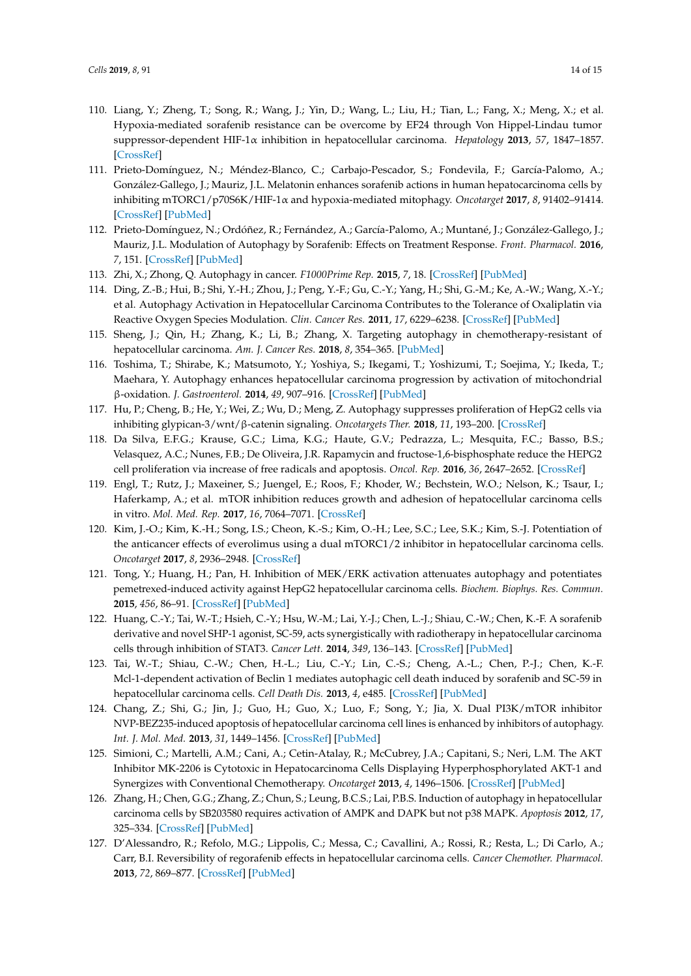- <span id="page-13-0"></span>110. Liang, Y.; Zheng, T.; Song, R.; Wang, J.; Yin, D.; Wang, L.; Liu, H.; Tian, L.; Fang, X.; Meng, X.; et al. Hypoxia-mediated sorafenib resistance can be overcome by EF24 through Von Hippel-Lindau tumor suppressor-dependent HIF-1α inhibition in hepatocellular carcinoma. *Hepatology* **2013**, *57*, 1847–1857. [\[CrossRef\]](http://dx.doi.org/10.1002/hep.26224)
- <span id="page-13-1"></span>111. Prieto-Domínguez, N.; Méndez-Blanco, C.; Carbajo-Pescador, S.; Fondevila, F.; García-Palomo, A.; González-Gallego, J.; Mauriz, J.L. Melatonin enhances sorafenib actions in human hepatocarcinoma cells by inhibiting mTORC1/p70S6K/HIF-1α and hypoxia-mediated mitophagy. *Oncotarget* **2017**, *8*, 91402–91414. [\[CrossRef\]](http://dx.doi.org/10.18632/oncotarget.20592) [\[PubMed\]](http://www.ncbi.nlm.nih.gov/pubmed/29207653)
- <span id="page-13-2"></span>112. Prieto-Domínguez, N.; Ordóñez, R.; Fernández, A.; García-Palomo, A.; Muntané, J.; González-Gallego, J.; Mauriz, J.L. Modulation of Autophagy by Sorafenib: Effects on Treatment Response. *Front. Pharmacol.* **2016**, *7*, 151. [\[CrossRef\]](http://dx.doi.org/10.3389/fphar.2016.00151) [\[PubMed\]](http://www.ncbi.nlm.nih.gov/pubmed/27375485)
- <span id="page-13-3"></span>113. Zhi, X.; Zhong, Q. Autophagy in cancer. *F1000Prime Rep.* **2015**, *7*, 18. [\[CrossRef\]](http://dx.doi.org/10.12703/P7-18) [\[PubMed\]](http://www.ncbi.nlm.nih.gov/pubmed/25750736)
- <span id="page-13-4"></span>114. Ding, Z.-B.; Hui, B.; Shi, Y.-H.; Zhou, J.; Peng, Y.-F.; Gu, C.-Y.; Yang, H.; Shi, G.-M.; Ke, A.-W.; Wang, X.-Y.; et al. Autophagy Activation in Hepatocellular Carcinoma Contributes to the Tolerance of Oxaliplatin via Reactive Oxygen Species Modulation. *Clin. Cancer Res.* **2011**, *17*, 6229–6238. [\[CrossRef\]](http://dx.doi.org/10.1158/1078-0432.CCR-11-0816) [\[PubMed\]](http://www.ncbi.nlm.nih.gov/pubmed/21825039)
- <span id="page-13-5"></span>115. Sheng, J.; Qin, H.; Zhang, K.; Li, B.; Zhang, X. Targeting autophagy in chemotherapy-resistant of hepatocellular carcinoma. *Am. J. Cancer Res.* **2018**, *8*, 354–365. [\[PubMed\]](http://www.ncbi.nlm.nih.gov/pubmed/29636994)
- <span id="page-13-6"></span>116. Toshima, T.; Shirabe, K.; Matsumoto, Y.; Yoshiya, S.; Ikegami, T.; Yoshizumi, T.; Soejima, Y.; Ikeda, T.; Maehara, Y. Autophagy enhances hepatocellular carcinoma progression by activation of mitochondrial β-oxidation. *J. Gastroenterol.* **2014**, *49*, 907–916. [\[CrossRef\]](http://dx.doi.org/10.1007/s00535-013-0835-9) [\[PubMed\]](http://www.ncbi.nlm.nih.gov/pubmed/23702609)
- <span id="page-13-7"></span>117. Hu, P.; Cheng, B.; He, Y.; Wei, Z.; Wu, D.; Meng, Z. Autophagy suppresses proliferation of HepG2 cells via inhibiting glypican-3/wnt/β-catenin signaling. *Oncotargets Ther.* **2018**, *11*, 193–200. [\[CrossRef\]](http://dx.doi.org/10.2147/OTT.S150520)
- <span id="page-13-8"></span>118. Da Silva, E.F.G.; Krause, G.C.; Lima, K.G.; Haute, G.V.; Pedrazza, L.; Mesquita, F.C.; Basso, B.S.; Velasquez, A.C.; Nunes, F.B.; De Oliveira, J.R. Rapamycin and fructose-1,6-bisphosphate reduce the HEPG2 cell proliferation via increase of free radicals and apoptosis. *Oncol. Rep.* **2016**, *36*, 2647–2652. [\[CrossRef\]](http://dx.doi.org/10.3892/or.2016.5111)
- <span id="page-13-9"></span>119. Engl, T.; Rutz, J.; Maxeiner, S.; Juengel, E.; Roos, F.; Khoder, W.; Bechstein, W.O.; Nelson, K.; Tsaur, I.; Haferkamp, A.; et al. mTOR inhibition reduces growth and adhesion of hepatocellular carcinoma cells in vitro. *Mol. Med. Rep.* **2017**, *16*, 7064–7071. [\[CrossRef\]](http://dx.doi.org/10.3892/mmr.2017.7401)
- <span id="page-13-10"></span>120. Kim, J.-O.; Kim, K.-H.; Song, I.S.; Cheon, K.-S.; Kim, O.-H.; Lee, S.C.; Lee, S.K.; Kim, S.-J. Potentiation of the anticancer effects of everolimus using a dual mTORC1/2 inhibitor in hepatocellular carcinoma cells. *Oncotarget* **2017**, *8*, 2936–2948. [\[CrossRef\]](http://dx.doi.org/10.18632/oncotarget.13808)
- <span id="page-13-11"></span>121. Tong, Y.; Huang, H.; Pan, H. Inhibition of MEK/ERK activation attenuates autophagy and potentiates pemetrexed-induced activity against HepG2 hepatocellular carcinoma cells. *Biochem. Biophys. Res. Commun.* **2015**, *456*, 86–91. [\[CrossRef\]](http://dx.doi.org/10.1016/j.bbrc.2014.11.038) [\[PubMed\]](http://www.ncbi.nlm.nih.gov/pubmed/25446102)
- <span id="page-13-12"></span>122. Huang, C.-Y.; Tai, W.-T.; Hsieh, C.-Y.; Hsu, W.-M.; Lai, Y.-J.; Chen, L.-J.; Shiau, C.-W.; Chen, K.-F. A sorafenib derivative and novel SHP-1 agonist, SC-59, acts synergistically with radiotherapy in hepatocellular carcinoma cells through inhibition of STAT3. *Cancer Lett.* **2014**, *349*, 136–143. [\[CrossRef\]](http://dx.doi.org/10.1016/j.canlet.2014.04.006) [\[PubMed\]](http://www.ncbi.nlm.nih.gov/pubmed/24735751)
- <span id="page-13-13"></span>123. Tai, W.-T.; Shiau, C.-W.; Chen, H.-L.; Liu, C.-Y.; Lin, C.-S.; Cheng, A.-L.; Chen, P.-J.; Chen, K.-F. Mcl-1-dependent activation of Beclin 1 mediates autophagic cell death induced by sorafenib and SC-59 in hepatocellular carcinoma cells. *Cell Death Dis.* **2013**, *4*, e485. [\[CrossRef\]](http://dx.doi.org/10.1038/cddis.2013.18) [\[PubMed\]](http://www.ncbi.nlm.nih.gov/pubmed/23392173)
- <span id="page-13-14"></span>124. Chang, Z.; Shi, G.; Jin, J.; Guo, H.; Guo, X.; Luo, F.; Song, Y.; Jia, X. Dual PI3K/mTOR inhibitor NVP-BEZ235-induced apoptosis of hepatocellular carcinoma cell lines is enhanced by inhibitors of autophagy. *Int. J. Mol. Med.* **2013**, *31*, 1449–1456. [\[CrossRef\]](http://dx.doi.org/10.3892/ijmm.2013.1351) [\[PubMed\]](http://www.ncbi.nlm.nih.gov/pubmed/23588698)
- <span id="page-13-15"></span>125. Simioni, C.; Martelli, A.M.; Cani, A.; Cetin-Atalay, R.; McCubrey, J.A.; Capitani, S.; Neri, L.M. The AKT Inhibitor MK-2206 is Cytotoxic in Hepatocarcinoma Cells Displaying Hyperphosphorylated AKT-1 and Synergizes with Conventional Chemotherapy. *Oncotarget* **2013**, *4*, 1496–1506. [\[CrossRef\]](http://dx.doi.org/10.18632/oncotarget.1236) [\[PubMed\]](http://www.ncbi.nlm.nih.gov/pubmed/24036604)
- <span id="page-13-16"></span>126. Zhang, H.; Chen, G.G.; Zhang, Z.; Chun, S.; Leung, B.C.S.; Lai, P.B.S. Induction of autophagy in hepatocellular carcinoma cells by SB203580 requires activation of AMPK and DAPK but not p38 MAPK. *Apoptosis* **2012**, *17*, 325–334. [\[CrossRef\]](http://dx.doi.org/10.1007/s10495-011-0685-y) [\[PubMed\]](http://www.ncbi.nlm.nih.gov/pubmed/22170404)
- <span id="page-13-17"></span>127. D'Alessandro, R.; Refolo, M.G.; Lippolis, C.; Messa, C.; Cavallini, A.; Rossi, R.; Resta, L.; Di Carlo, A.; Carr, B.I. Reversibility of regorafenib effects in hepatocellular carcinoma cells. *Cancer Chemother. Pharmacol.* **2013**, *72*, 869–877. [\[CrossRef\]](http://dx.doi.org/10.1007/s00280-013-2269-8) [\[PubMed\]](http://www.ncbi.nlm.nih.gov/pubmed/23959464)